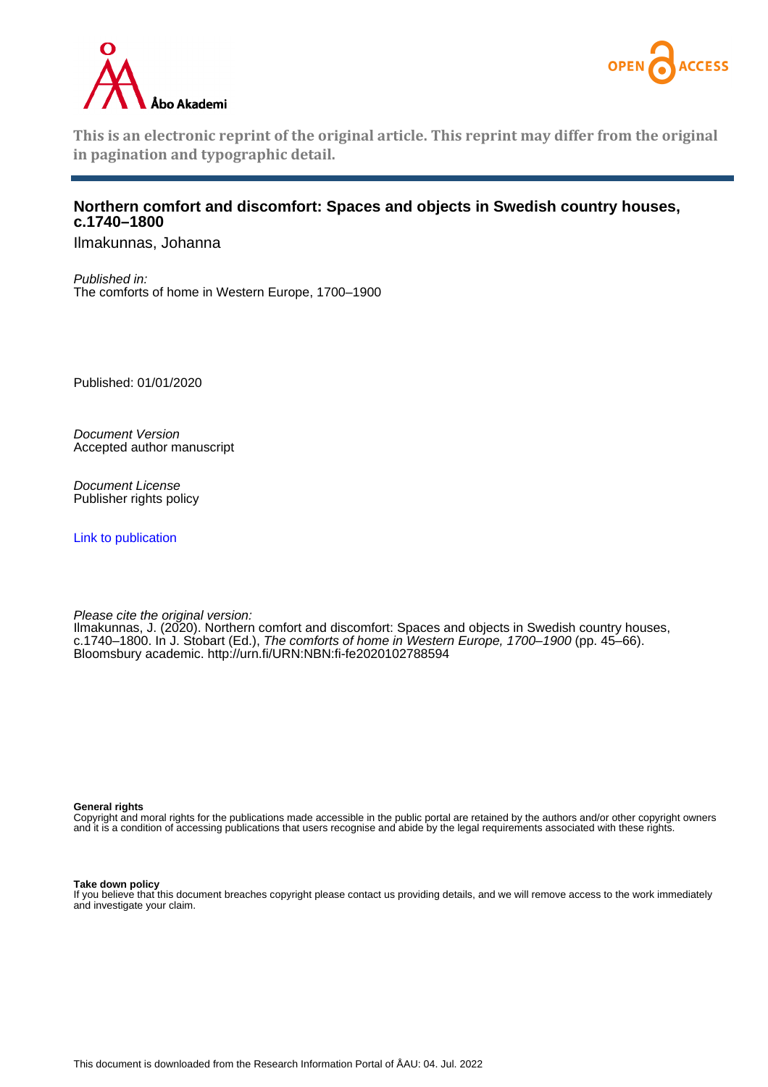



**This is an electronic reprint of the original article. This reprint may differ from the original in pagination and typographic detail.**

### **Northern comfort and discomfort: Spaces and objects in Swedish country houses, c.1740–1800**

Ilmakunnas, Johanna

Published in: The comforts of home in Western Europe, 1700–1900

Published: 01/01/2020

Document Version Accepted author manuscript

Document License Publisher rights policy

[Link to publication](https://research.abo.fi/en/publications/66a9826c-0e16-477e-95ee-7dd0aaa1dd68)

Please cite the original version:

Ilmakunnas, J. (2020). Northern comfort and discomfort: Spaces and objects in Swedish country houses, c.1740–1800. In J. Stobart (Ed.), The comforts of home in Western Europe, 1700–1900 (pp. 45–66). Bloomsbury academic. <http://urn.fi/URN:NBN:fi-fe2020102788594>

**General rights**

Copyright and moral rights for the publications made accessible in the public portal are retained by the authors and/or other copyright owners and it is a condition of accessing publications that users recognise and abide by the legal requirements associated with these rights.

#### **Take down policy**

If you believe that this document breaches copyright please contact us providing details, and we will remove access to the work immediately and investigate your claim.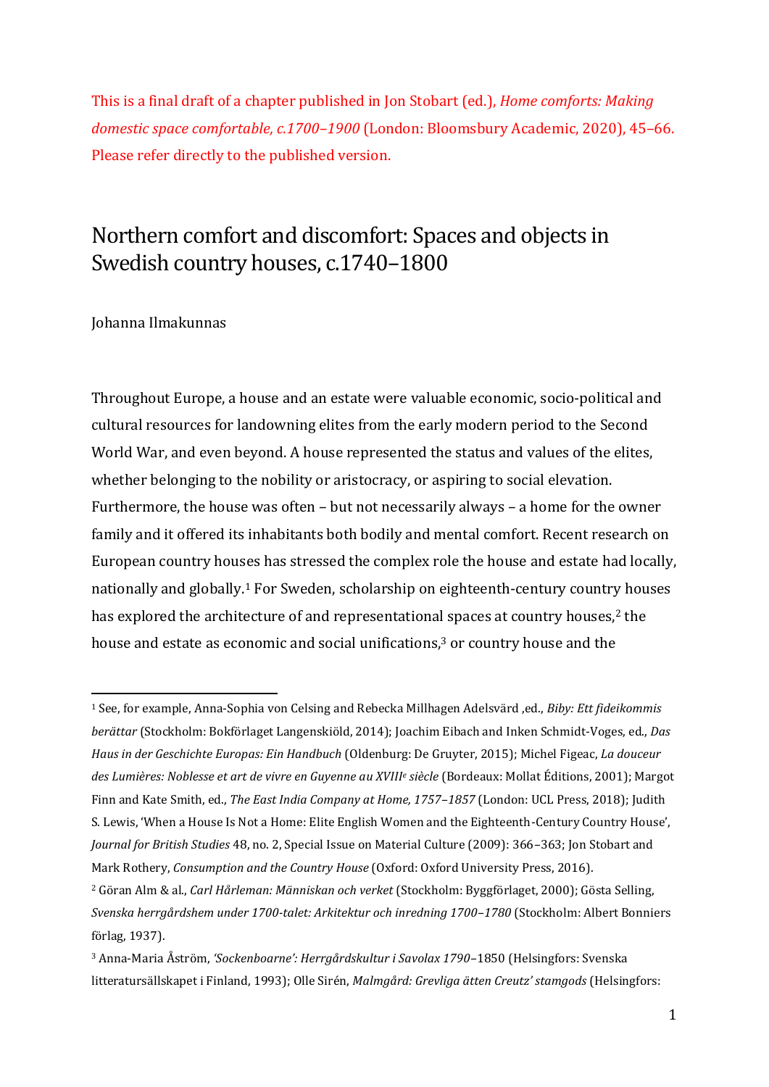This is a final draft of a chapter published in Jon Stobart (ed.), *Home comforts: Making domestic space comfortable, c.1700–1900* (London: Bloomsbury Academic, 2020), 45–66. Please refer directly to the published version.

# Northern comfort and discomfort: Spaces and objects in Swedish country houses, c.1740–1800

### Johanna Ilmakunnas

<u>.</u>

Throughout Europe, a house and an estate were valuable economic, socio-political and cultural resources for landowning elites from the early modern period to the Second World War, and even beyond. A house represented the status and values of the elites, whether belonging to the nobility or aristocracy, or aspiring to social elevation. Furthermore, the house was often – but not necessarily always – a home for the owner family and it offered its inhabitants both bodily and mental comfort. Recent research on European country houses has stressed the complex role the house and estate had locally, nationally and globally.<sup>1</sup> For Sweden, scholarship on eighteenth-century country houses has explored the architecture of and representational spaces at country houses,<sup>2</sup> the house and estate as economic and social unifications, <sup>3</sup> or country house and the

<sup>1</sup> See, for example, Anna-Sophia von Celsing and Rebecka Millhagen Adelsvärd ,ed., *Biby: Ett fideikommis berättar* (Stockholm: Bokförlaget Langenskiöld, 2014); Joachim Eibach and Inken Schmidt-Voges, ed., *Das Haus in der Geschichte Europas: Ein Handbuch* (Oldenburg: De Gruyter, 2015); Michel Figeac, *La douceur des Lumières: Noblesse et art de vivre en Guyenne au XVIII<sup>e</sup> siècle* (Bordeaux: Mollat Éditions, 2001); Margot Finn and Kate Smith, ed., *The East India Company at Home, 1757–1857* (London: UCL Press, 2018); Judith S. Lewis, 'When a House Is Not a Home: Elite English Women and the Eighteenth-Century Country House', *Journal for British Studies* 48, no. 2, Special Issue on Material Culture (2009): 366–363; Jon Stobart and Mark Rothery, *Consumption and the Country House* (Oxford: Oxford University Press, 2016). <sup>2</sup> Göran Alm & al., *Carl Hårleman: Människan och verket* (Stockholm: Byggförlaget, 2000); Gösta Selling, *Svenska herrgårdshem under 1700-talet: Arkitektur och inredning 1700–1780* (Stockholm: Albert Bonniers förlag, 1937).

<sup>3</sup> Anna-Maria Åström, *'Sockenboarne': Herrgårdskultur i Savolax 1790–*1850 (Helsingfors: Svenska litteratursällskapet i Finland, 1993); Olle Sirén, *Malmgård: Grevliga ätten Creutz' stamgods* (Helsingfors: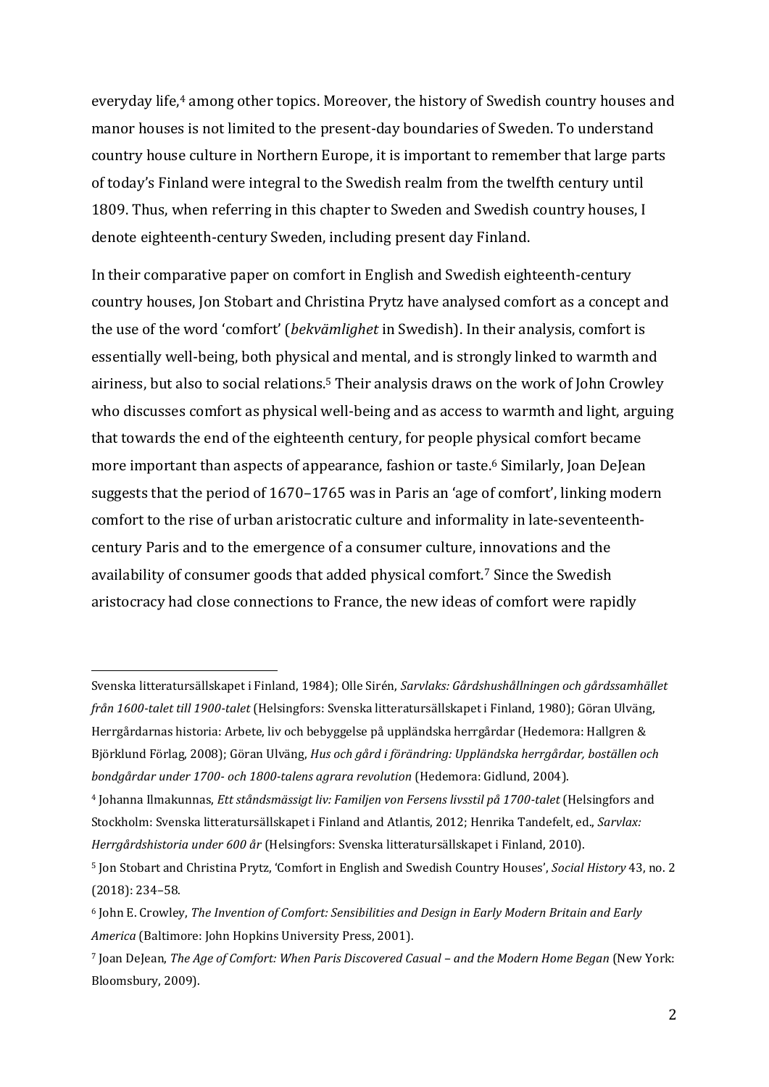everyday life, <sup>4</sup> among other topics. Moreover, the history of Swedish country houses and manor houses is not limited to the present-day boundaries of Sweden. To understand country house culture in Northern Europe, it is important to remember that large parts of today's Finland were integral to the Swedish realm from the twelfth century until 1809. Thus, when referring in this chapter to Sweden and Swedish country houses, I denote eighteenth-century Sweden, including present day Finland.

In their comparative paper on comfort in English and Swedish eighteenth-century country houses, Jon Stobart and Christina Prytz have analysed comfort as a concept and the use of the word 'comfort' (*bekvämlighet* in Swedish). In their analysis, comfort is essentially well-being, both physical and mental, and is strongly linked to warmth and airiness, but also to social relations. <sup>5</sup> Their analysis draws on the work of John Crowley who discusses comfort as physical well-being and as access to warmth and light, arguing that towards the end of the eighteenth century, for people physical comfort became more important than aspects of appearance, fashion or taste.<sup>6</sup> Similarly, Joan DeJean suggests that the period of 1670–1765 was in Paris an 'age of comfort', linking modern comfort to the rise of urban aristocratic culture and informality in late-seventeenthcentury Paris and to the emergence of a consumer culture, innovations and the availability of consumer goods that added physical comfort. <sup>7</sup> Since the Swedish aristocracy had close connections to France, the new ideas of comfort were rapidly

Svenska litteratursällskapet i Finland, 1984); Olle Sirén, *Sarvlaks: Gårdshushållningen och gårdssamhället från 1600-talet till 1900-talet* (Helsingfors: Svenska litteratursällskapet i Finland, 1980); Göran Ulväng, Herrgårdarnas historia: Arbete, liv och bebyggelse på uppländska herrgårdar (Hedemora: Hallgren & Björklund Förlag, 2008); Göran Ulväng, *Hus och gård i förändring: Uppländska herrgårdar, boställen och bondgårdar under 1700- och 1800-talens agrara revolution* (Hedemora: Gidlund, 2004).

<sup>4</sup> Johanna Ilmakunnas, *Ett ståndsmässigt liv: Familjen von Fersens livsstil på 1700-talet* (Helsingfors and Stockholm: Svenska litteratursällskapet i Finland and Atlantis, 2012; Henrika Tandefelt, ed., *Sarvlax: Herrgårdshistoria under 600 år* (Helsingfors: Svenska litteratursällskapet i Finland, 2010).

<sup>5</sup> Jon Stobart and Christina Prytz, 'Comfort in English and Swedish Country Houses', *Social History* 43, no. 2 (2018): 234–58.

<sup>6</sup> John E. Crowley, *The Invention of Comfort: Sensibilities and Design in Early Modern Britain and Early America* (Baltimore: John Hopkins University Press, 2001).

<sup>7</sup> Joan DeJean, *The Age of Comfort: When Paris Discovered Casual – and the Modern Home Began* (New York: Bloomsbury, 2009).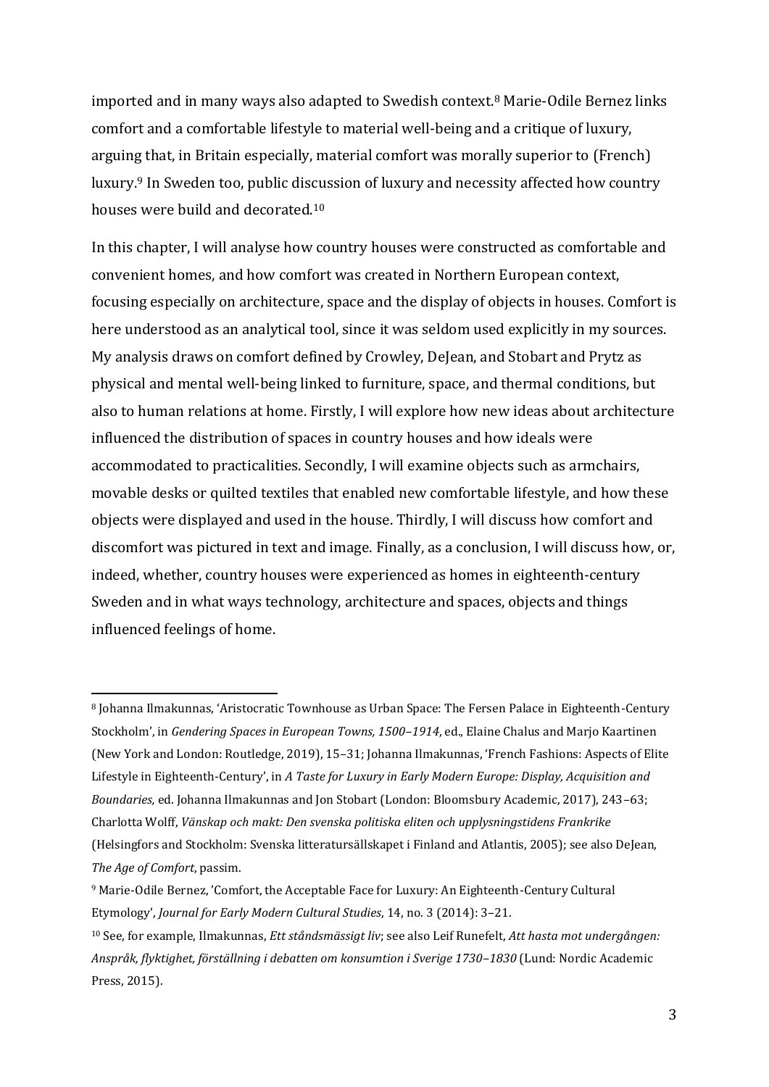imported and in many ways also adapted to Swedish context.<sup>8</sup> Marie-Odile Bernez links comfort and a comfortable lifestyle to material well-being and a critique of luxury, arguing that, in Britain especially, material comfort was morally superior to (French) luxury.<sup>9</sup> In Sweden too, public discussion of luxury and necessity affected how country houses were build and decorated.<sup>10</sup>

In this chapter, I will analyse how country houses were constructed as comfortable and convenient homes, and how comfort was created in Northern European context, focusing especially on architecture, space and the display of objects in houses. Comfort is here understood as an analytical tool, since it was seldom used explicitly in my sources. My analysis draws on comfort defined by Crowley, DeJean, and Stobart and Prytz as physical and mental well-being linked to furniture, space, and thermal conditions, but also to human relations at home. Firstly, I will explore how new ideas about architecture influenced the distribution of spaces in country houses and how ideals were accommodated to practicalities. Secondly, I will examine objects such as armchairs, movable desks or quilted textiles that enabled new comfortable lifestyle, and how these objects were displayed and used in the house. Thirdly, I will discuss how comfort and discomfort was pictured in text and image. Finally, as a conclusion, I will discuss how, or, indeed, whether, country houses were experienced as homes in eighteenth-century Sweden and in what ways technology, architecture and spaces, objects and things influenced feelings of home.

<sup>8</sup> Johanna Ilmakunnas, 'Aristocratic Townhouse as Urban Space: The Fersen Palace in Eighteenth-Century Stockholm', in *Gendering Spaces in European Towns, 1500–1914*, ed., Elaine Chalus and Marjo Kaartinen (New York and London: Routledge, 2019), 15–31; Johanna Ilmakunnas, 'French Fashions: Aspects of Elite Lifestyle in Eighteenth-Century', in *A Taste for Luxury in Early Modern Europe: Display, Acquisition and Boundaries,* ed. Johanna Ilmakunnas and Jon Stobart (London: Bloomsbury Academic, 2017), 243–63; Charlotta Wolff, *Vänskap och makt: Den svenska politiska eliten och upplysningstidens Frankrike* (Helsingfors and Stockholm: Svenska litteratursällskapet i Finland and Atlantis, 2005); see also DeJean, *The Age of Comfort*, passim.

<sup>9</sup> Marie-Odile Bernez, 'Comfort, the Acceptable Face for Luxury: An Eighteenth-Century Cultural Etymology', *Journal for Early Modern Cultural Studies*, 14, no. 3 (2014): 3–21.

<sup>10</sup> See, for example, Ilmakunnas, *Ett ståndsmässigt liv*; see also Leif Runefelt, *Att hasta mot undergången: Anspråk, flyktighet, förställning i debatten om konsumtion i Sverige 1730–1830* (Lund: Nordic Academic Press, 2015).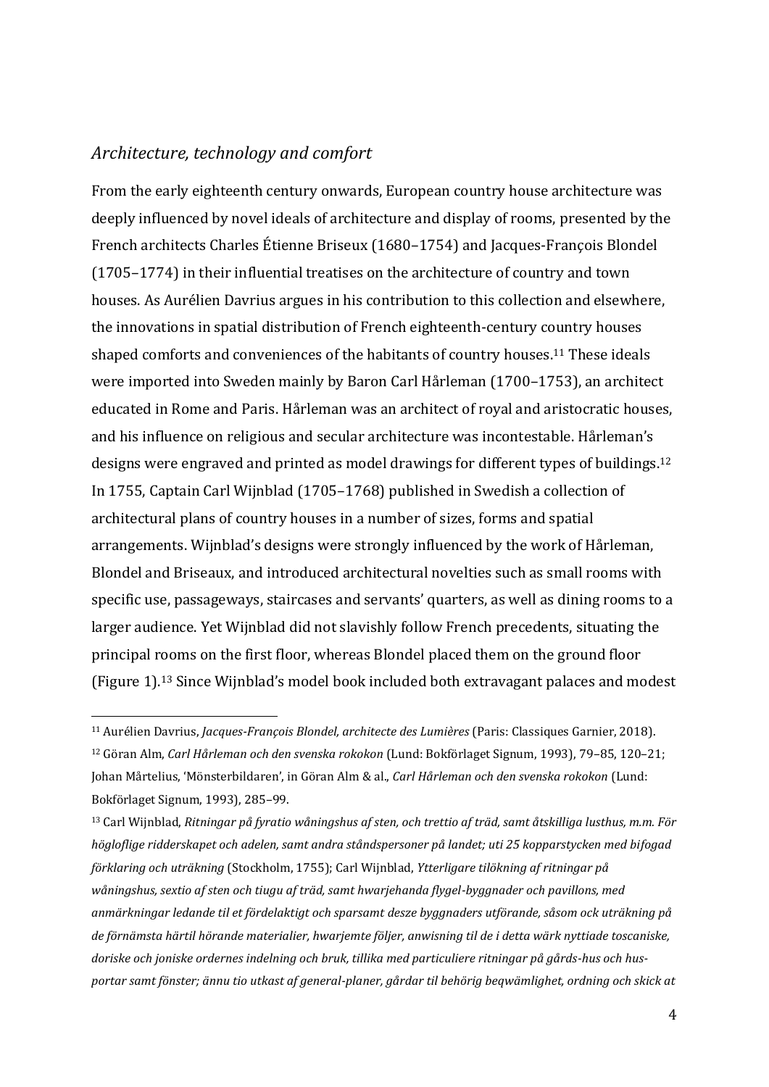### *Architecture, technology and comfort*

<u>.</u>

From the early eighteenth century onwards, European country house architecture was deeply influenced by novel ideals of architecture and display of rooms, presented by the French architects Charles Étienne Briseux (1680–1754) and Jacques-François Blondel (1705–1774) in their influential treatises on the architecture of country and town houses. As Aurélien Davrius argues in his contribution to this collection and elsewhere, the innovations in spatial distribution of French eighteenth-century country houses shaped comforts and conveniences of the habitants of country houses.<sup>11</sup> These ideals were imported into Sweden mainly by Baron Carl Hårleman (1700–1753), an architect educated in Rome and Paris. Hårleman was an architect of royal and aristocratic houses, and his influence on religious and secular architecture was incontestable. Hårleman's designs were engraved and printed as model drawings for different types of buildings.<sup>12</sup> In 1755, Captain Carl Wijnblad (1705–1768) published in Swedish a collection of architectural plans of country houses in a number of sizes, forms and spatial arrangements. Wijnblad's designs were strongly influenced by the work of Hårleman, Blondel and Briseaux, and introduced architectural novelties such as small rooms with specific use, passageways, staircases and servants' quarters, as well as dining rooms to a larger audience. Yet Wijnblad did not slavishly follow French precedents, situating the principal rooms on the first floor, whereas Blondel placed them on the ground floor (Figure 1). <sup>13</sup> Since Wijnblad's model book included both extravagant palaces and modest

<sup>11</sup> Aurélien Davrius, *Jacques-François Blondel, architecte des Lumières* (Paris: Classiques Garnier, 2018). <sup>12</sup> Göran Alm, *Carl Hårleman och den svenska rokokon* (Lund: Bokförlaget Signum, 1993), 79–85, 120–21; Johan Mårtelius, 'Mönsterbildaren', in Göran Alm & al., *Carl Hårleman och den svenska rokokon* (Lund: Bokförlaget Signum, 1993), 285–99.

<sup>13</sup> Carl Wijnblad, *Ritningar på fyratio wåningshus af sten, och trettio af träd, samt åtskilliga lusthus, m.m. För högloflige ridderskapet och adelen, samt andra ståndspersoner på landet; uti 25 kopparstycken med bifogad förklaring och uträkning* (Stockholm, 1755); Carl Wijnblad, *Ytterligare tilökning af ritningar på wåningshus, sextio af sten och tiugu af träd, samt hwarjehanda flygel-byggnader och pavillons, med anmärkningar ledande til et fördelaktigt och sparsamt desze byggnaders utförande, såsom ock uträkning på de förnämsta härtil hörande materialier, hwarjemte följer, anwisning til de i detta wärk nyttiade toscaniske, doriske och joniske ordernes indelning och bruk, tillika med particuliere ritningar på gårds-hus och husportar samt fönster; ännu tio utkast af general-planer, gårdar til behörig beqwämlighet, ordning och skick at*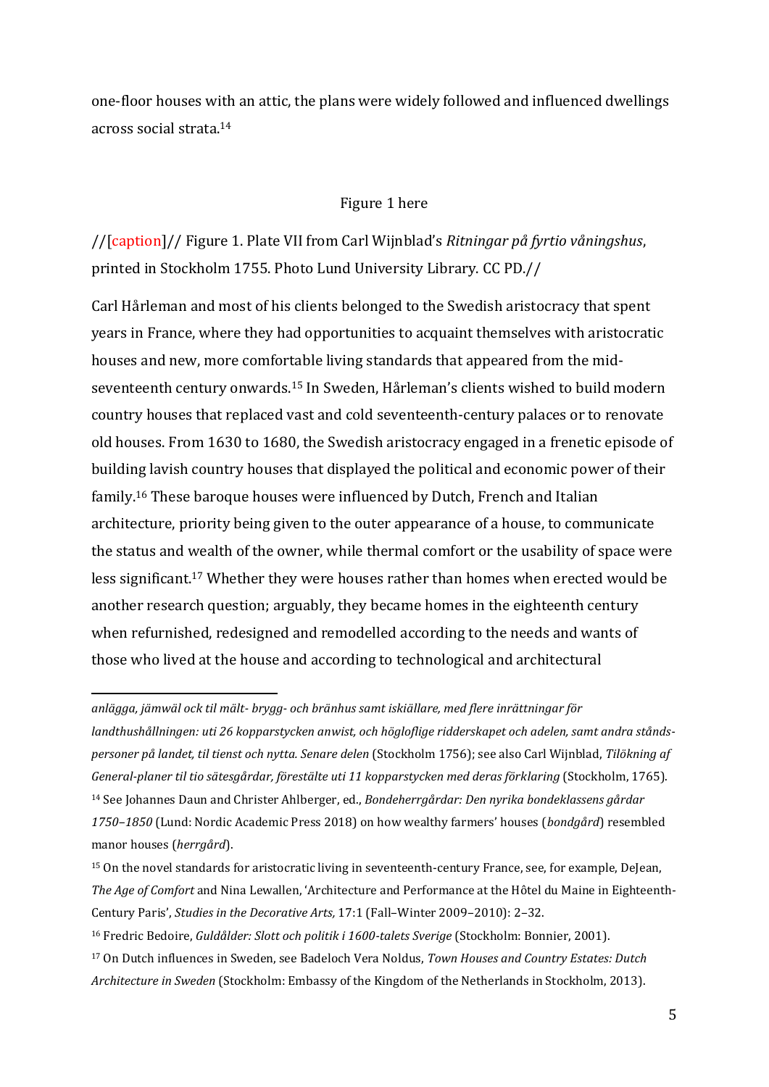one-floor houses with an attic, the plans were widely followed and influenced dwellings across social strata.<sup>14</sup>

### Figure 1 here

//[caption]// Figure 1. Plate VII from Carl Wijnblad's *Ritningar på fyrtio våningshus*, printed in Stockholm 1755. Photo Lund University Library. CC PD.//

Carl Hårleman and most of his clients belonged to the Swedish aristocracy that spent years in France, where they had opportunities to acquaint themselves with aristocratic houses and new, more comfortable living standards that appeared from the midseventeenth century onwards.<sup>15</sup> In Sweden, Hårleman's clients wished to build modern country houses that replaced vast and cold seventeenth-century palaces or to renovate old houses. From 1630 to 1680, the Swedish aristocracy engaged in a frenetic episode of building lavish country houses that displayed the political and economic power of their family. <sup>16</sup> These baroque houses were influenced by Dutch, French and Italian architecture, priority being given to the outer appearance of a house, to communicate the status and wealth of the owner, while thermal comfort or the usability of space were less significant.<sup>17</sup> Whether they were houses rather than homes when erected would be another research question; arguably, they became homes in the eighteenth century when refurnished, redesigned and remodelled according to the needs and wants of those who lived at the house and according to technological and architectural

*anlägga, jämwäl ock til mält- brygg- och bränhus samt iskiällare, med flere inrättningar för landthushållningen: uti 26 kopparstycken anwist, och högloflige ridderskapet och adelen, samt andra ståndspersoner på landet, til tienst och nytta. Senare delen* (Stockholm 1756); see also Carl Wijnblad, *Tilökning af General-planer til tio sätesgårdar, förestälte uti 11 kopparstycken med deras förklaring* (Stockholm, 1765). <sup>14</sup> See Johannes Daun and Christer Ahlberger, ed., *Bondeherrgårdar: Den nyrika bondeklassens gårdar 1750–1850* (Lund: Nordic Academic Press 2018) on how wealthy farmers' houses (*bondgård*) resembled manor houses (*herrgård*).

<sup>15</sup> On the novel standards for aristocratic living in seventeenth-century France, see, for example, DeJean, *The Age of Comfort* and Nina Lewallen, 'Architecture and Performance at the Hôtel du Maine in Eighteenth-Century Paris', *Studies in the Decorative Arts,* 17:1 (Fall–Winter 2009–2010): 2–32.

<sup>16</sup> Fredric Bedoire, *Guldålder: Slott och politik i 1600-talets Sverige* (Stockholm: Bonnier, 2001).

<sup>17</sup> On Dutch influences in Sweden, see Badeloch Vera Noldus, *Town Houses and Country Estates: Dutch Architecture in Sweden* (Stockholm: Embassy of the Kingdom of the Netherlands in Stockholm, 2013).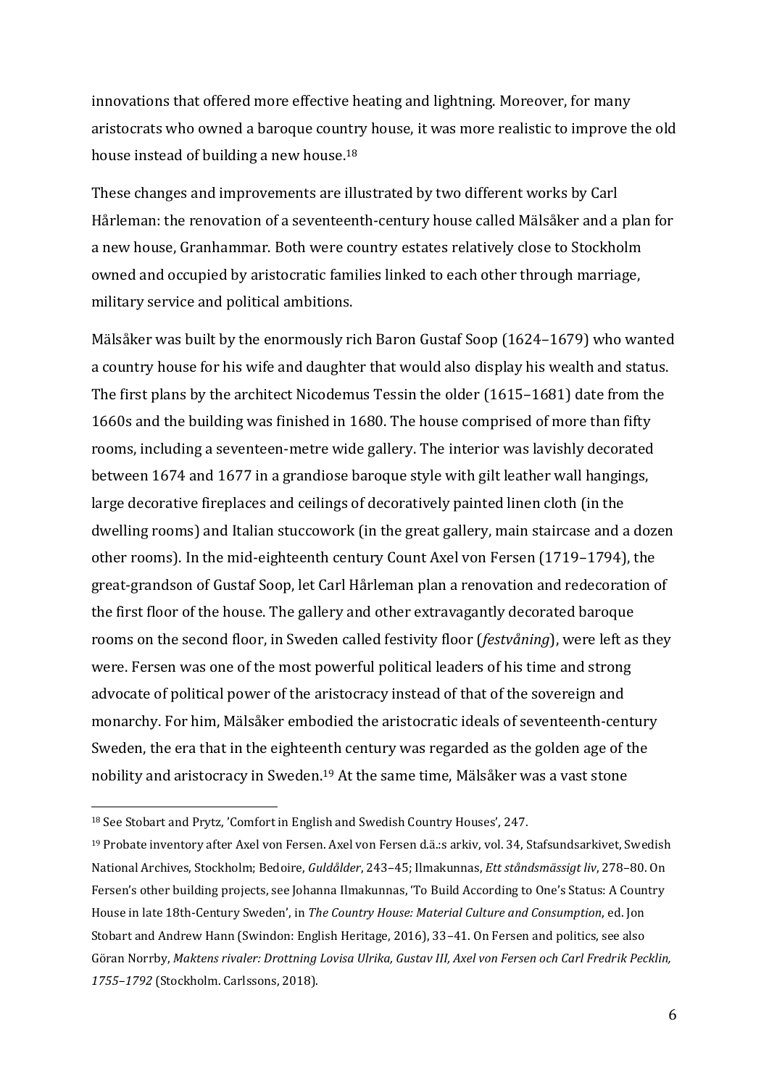innovations that offered more effective heating and lightning. Moreover, for many aristocrats who owned a baroque country house, it was more realistic to improve the old house instead of building a new house.<sup>18</sup>

These changes and improvements are illustrated by two different works by Carl Hårleman: the renovation of a seventeenth-century house called Mälsåker and a plan for a new house, Granhammar. Both were country estates relatively close to Stockholm owned and occupied by aristocratic families linked to each other through marriage, military service and political ambitions.

Mälsåker was built by the enormously rich Baron Gustaf Soop (1624–1679) who wanted a country house for his wife and daughter that would also display his wealth and status. The first plans by the architect Nicodemus Tessin the older (1615–1681) date from the 1660s and the building was finished in 1680. The house comprised of more than fifty rooms, including a seventeen-metre wide gallery. The interior was lavishly decorated between 1674 and 1677 in a grandiose baroque style with gilt leather wall hangings, large decorative fireplaces and ceilings of decoratively painted linen cloth (in the dwelling rooms) and Italian stuccowork (in the great gallery, main staircase and a dozen other rooms). In the mid-eighteenth century Count Axel von Fersen (1719–1794), the great-grandson of Gustaf Soop, let Carl Hårleman plan a renovation and redecoration of the first floor of the house. The gallery and other extravagantly decorated baroque rooms on the second floor, in Sweden called festivity floor (*festvåning*), were left as they were. Fersen was one of the most powerful political leaders of his time and strong advocate of political power of the aristocracy instead of that of the sovereign and monarchy. For him, Mälsåker embodied the aristocratic ideals of seventeenth-century Sweden, the era that in the eighteenth century was regarded as the golden age of the nobility and aristocracy in Sweden.<sup>19</sup> At the same time, Mälsåker was a vast stone

<sup>18</sup> See Stobart and Prytz, 'Comfort in English and Swedish Country Houses', 247.

<sup>19</sup> Probate inventory after Axel von Fersen. Axel von Fersen d.ä.:s arkiv, vol. 34, Stafsundsarkivet, Swedish National Archives, Stockholm; Bedoire, *Guldålder*, 243–45; Ilmakunnas, *Ett ståndsmässigt liv*, 278–80. On Fersen's other building projects, see Johanna Ilmakunnas, 'To Build According to One's Status: A Country House in late 18th-Century Sweden', in *The Country House: Material Culture and Consumption*, ed. Jon Stobart and Andrew Hann (Swindon: English Heritage, 2016), 33–41. On Fersen and politics, see also Göran Norrby, *Maktens rivaler: Drottning Lovisa Ulrika, Gustav III, Axel von Fersen och Carl Fredrik Pecklin, 1755–1792* (Stockholm. Carlssons, 2018).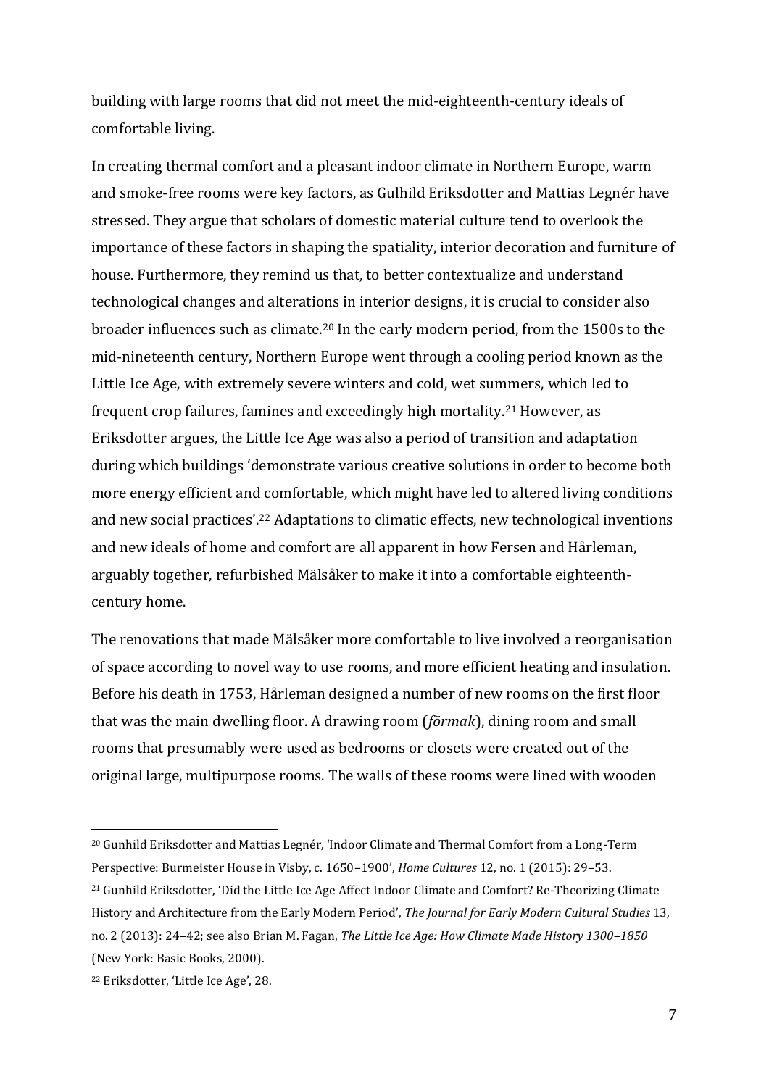building with large rooms that did not meet the mid-eighteenth-century ideals of comfortable living.

In creating thermal comfort and a pleasant indoor climate in Northern Europe, warm and smoke-free rooms were key factors, as Gulhild Eriksdotter and Mattias Legnér have stressed. They argue that scholars of domestic material culture tend to overlook the importance of these factors in shaping the spatiality, interior decoration and furniture of house. Furthermore, they remind us that, to better contextualize and understand technological changes and alterations in interior designs, it is crucial to consider also broader influences such as climate.<sup>20</sup> In the early modern period, from the 1500s to the mid-nineteenth century, Northern Europe went through a cooling period known as the Little Ice Age, with extremely severe winters and cold, wet summers, which led to frequent crop failures, famines and exceedingly high mortality. <sup>21</sup> However, as Eriksdotter argues, the Little Ice Age was also a period of transition and adaptation during which buildings 'demonstrate various creative solutions in order to become both more energy efficient and comfortable, which might have led to altered living conditions and new social practices'. <sup>22</sup> Adaptations to climatic effects, new technological inventions and new ideals of home and comfort are all apparent in how Fersen and Hårleman, arguably together, refurbished Mälsåker to make it into a comfortable eighteenthcentury home.

The renovations that made Mälsåker more comfortable to live involved a reorganisation of space according to novel way to use rooms, and more efficient heating and insulation. Before his death in 1753, Hårleman designed a number of new rooms on the first floor that was the main dwelling floor. A drawing room (*förmak*), dining room and small rooms that presumably were used as bedrooms or closets were created out of the original large, multipurpose rooms. The walls of these rooms were lined with wooden

<sup>&</sup>lt;u>.</u> <sup>20</sup> Gunhild Eriksdotter and Mattias Legnér, 'Indoor Climate and Thermal Comfort from a Long-Term Perspective: Burmeister House in Visby, c. 1650–1900', *Home Cultures* 12, no. 1 (2015): 29–53. <sup>21</sup> Gunhild Eriksdotter, 'Did the Little Ice Age Affect Indoor Climate and Comfort? Re-Theorizing Climate History and Architecture from the Early Modern Period', *The Journal for Early Modern Cultural Studies* 13, no. 2 (2013): 24–42; see also Brian M. Fagan, *The Little Ice Age: How Climate Made History 1300–1850*  (New York: Basic Books, 2000).

<sup>22</sup> Eriksdotter, 'Little Ice Age', 28.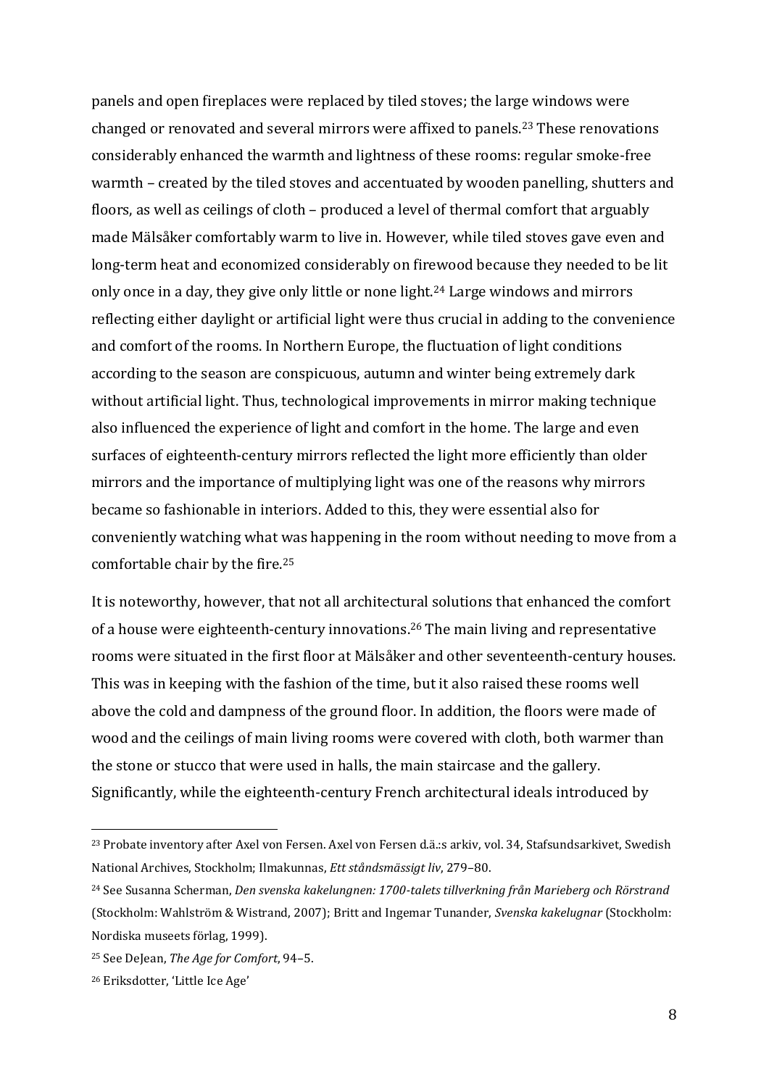panels and open fireplaces were replaced by tiled stoves; the large windows were changed or renovated and several mirrors were affixed to panels.<sup>23</sup> These renovations considerably enhanced the warmth and lightness of these rooms: regular smoke-free warmth – created by the tiled stoves and accentuated by wooden panelling, shutters and floors, as well as ceilings of cloth – produced a level of thermal comfort that arguably made Mälsåker comfortably warm to live in. However, while tiled stoves gave even and long-term heat and economized considerably on firewood because they needed to be lit only once in a day, they give only little or none light.<sup>24</sup> Large windows and mirrors reflecting either daylight or artificial light were thus crucial in adding to the convenience and comfort of the rooms. In Northern Europe, the fluctuation of light conditions according to the season are conspicuous, autumn and winter being extremely dark without artificial light. Thus, technological improvements in mirror making technique also influenced the experience of light and comfort in the home. The large and even surfaces of eighteenth-century mirrors reflected the light more efficiently than older mirrors and the importance of multiplying light was one of the reasons why mirrors became so fashionable in interiors. Added to this, they were essential also for conveniently watching what was happening in the room without needing to move from a comfortable chair by the fire.<sup>25</sup>

It is noteworthy, however, that not all architectural solutions that enhanced the comfort of a house were eighteenth-century innovations.<sup>26</sup> The main living and representative rooms were situated in the first floor at Mälsåker and other seventeenth-century houses. This was in keeping with the fashion of the time, but it also raised these rooms well above the cold and dampness of the ground floor. In addition, the floors were made of wood and the ceilings of main living rooms were covered with cloth, both warmer than the stone or stucco that were used in halls, the main staircase and the gallery. Significantly, while the eighteenth-century French architectural ideals introduced by

<sup>23</sup> Probate inventory after Axel von Fersen. Axel von Fersen d.ä.:s arkiv, vol. 34, Stafsundsarkivet, Swedish National Archives, Stockholm; Ilmakunnas, *Ett ståndsmässigt liv*, 279–80.

<sup>24</sup> See Susanna Scherman, *Den svenska kakelungnen: 1700-talets tillverkning från Marieberg och Rörstrand*  (Stockholm: Wahlström & Wistrand, 2007); Britt and Ingemar Tunander, *Svenska kakelugnar* (Stockholm: Nordiska museets förlag, 1999).

<sup>25</sup> See DeJean, *The Age for Comfort*, 94–5.

<sup>26</sup> Eriksdotter, 'Little Ice Age'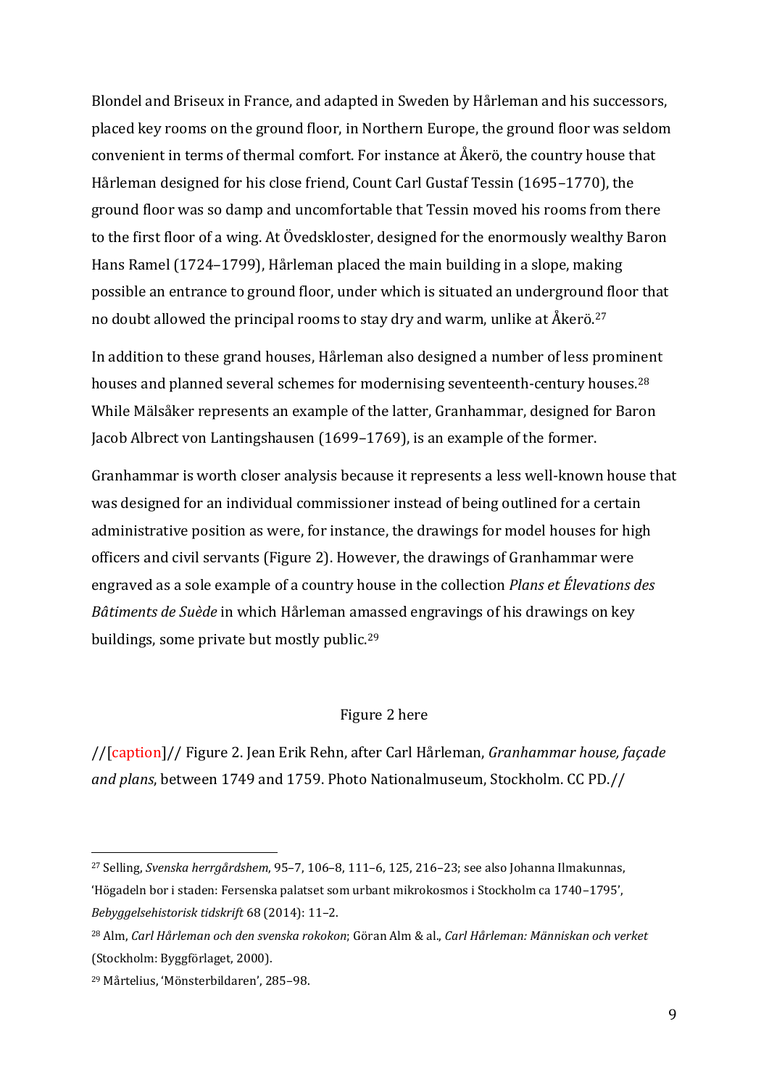Blondel and Briseux in France, and adapted in Sweden by Hårleman and his successors, placed key rooms on the ground floor, in Northern Europe, the ground floor was seldom convenient in terms of thermal comfort. For instance at Åkerö, the country house that Hårleman designed for his close friend, Count Carl Gustaf Tessin (1695–1770), the ground floor was so damp and uncomfortable that Tessin moved his rooms from there to the first floor of a wing. At Övedskloster, designed for the enormously wealthy Baron Hans Ramel (1724–1799), Hårleman placed the main building in a slope, making possible an entrance to ground floor, under which is situated an underground floor that no doubt allowed the principal rooms to stay dry and warm, unlike at Åkerö. 27

In addition to these grand houses, Hårleman also designed a number of less prominent houses and planned several schemes for modernising seventeenth-century houses.<sup>28</sup> While Mälsåker represents an example of the latter, Granhammar, designed for Baron Jacob Albrect von Lantingshausen (1699–1769), is an example of the former.

Granhammar is worth closer analysis because it represents a less well-known house that was designed for an individual commissioner instead of being outlined for a certain administrative position as were, for instance, the drawings for model houses for high officers and civil servants (Figure 2). However, the drawings of Granhammar were engraved as a sole example of a country house in the collection *Plans et Élevations des Bâtiments de Suède* in which Hårleman amassed engravings of his drawings on key buildings, some private but mostly public.<sup>29</sup>

### Figure 2 here

//[caption]// Figure 2. Jean Erik Rehn, after Carl Hårleman, *Granhammar house, façade and plans*, between 1749 and 1759. Photo Nationalmuseum, Stockholm. CC PD.//

<sup>27</sup> Selling, *Svenska herrgårdshem*, 95–7, 106–8, 111–6, 125, 216–23; see also Johanna Ilmakunnas, 'Högadeln bor i staden: Fersenska palatset som urbant mikrokosmos i Stockholm ca 1740–1795', *Bebyggelsehistorisk tidskrift* 68 (2014): 11–2.

<sup>28</sup> Alm, *Carl Hårleman och den svenska rokokon*; Göran Alm & al., *Carl Hårleman: Människan och verket* (Stockholm: Byggförlaget, 2000).

<sup>29</sup> Mårtelius, 'Mönsterbildaren', 285–98.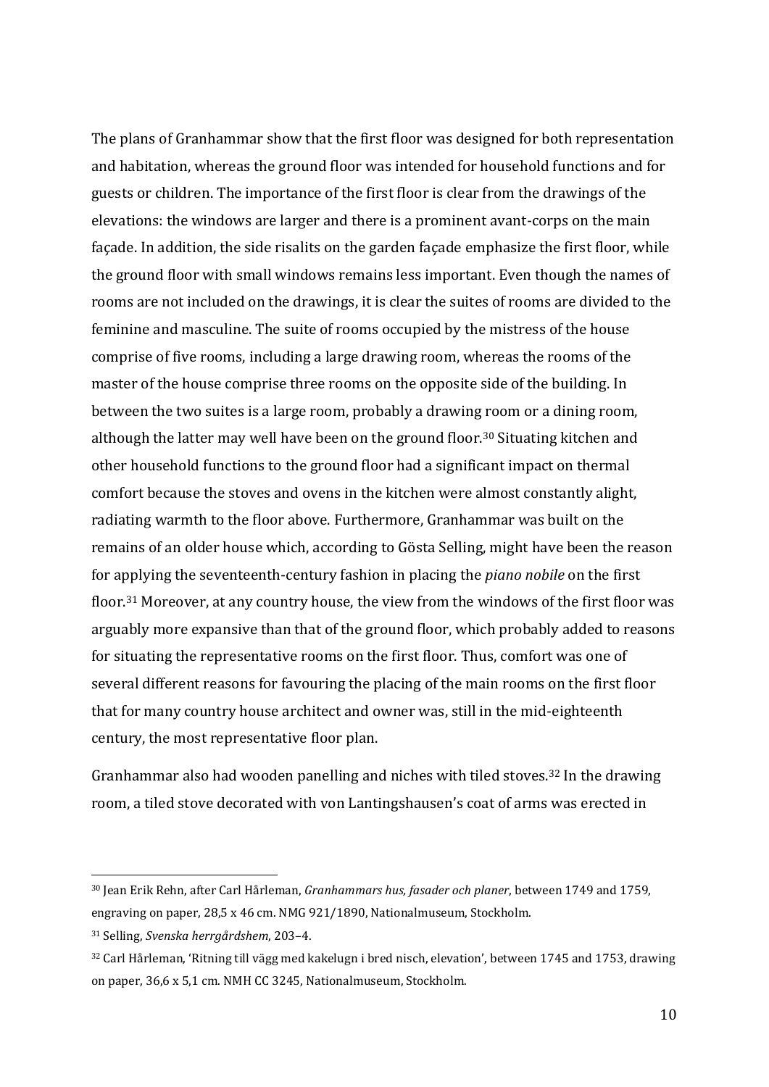The plans of Granhammar show that the first floor was designed for both representation and habitation, whereas the ground floor was intended for household functions and for guests or children. The importance of the first floor is clear from the drawings of the elevations: the windows are larger and there is a prominent avant-corps on the main façade. In addition, the side risalits on the garden façade emphasize the first floor, while the ground floor with small windows remains less important. Even though the names of rooms are not included on the drawings, it is clear the suites of rooms are divided to the feminine and masculine. The suite of rooms occupied by the mistress of the house comprise of five rooms, including a large drawing room, whereas the rooms of the master of the house comprise three rooms on the opposite side of the building. In between the two suites is a large room, probably a drawing room or a dining room, although the latter may well have been on the ground floor.<sup>30</sup> Situating kitchen and other household functions to the ground floor had a significant impact on thermal comfort because the stoves and ovens in the kitchen were almost constantly alight, radiating warmth to the floor above. Furthermore, Granhammar was built on the remains of an older house which, according to Gösta Selling, might have been the reason for applying the seventeenth-century fashion in placing the *piano nobile* on the first floor.<sup>31</sup> Moreover, at any country house, the view from the windows of the first floor was arguably more expansive than that of the ground floor, which probably added to reasons for situating the representative rooms on the first floor. Thus, comfort was one of several different reasons for favouring the placing of the main rooms on the first floor that for many country house architect and owner was, still in the mid-eighteenth century, the most representative floor plan.

Granhammar also had wooden panelling and niches with tiled stoves.<sup>32</sup> In the drawing room, a tiled stove decorated with von Lantingshausen's coat of arms was erected in

<sup>30</sup> Jean Erik Rehn, after Carl Hårleman, *Granhammars hus, fasader och planer*, between 1749 and 1759, engraving on paper, 28,5 x 46 cm. NMG 921/1890, Nationalmuseum, Stockholm.

<sup>31</sup> Selling, *Svenska herrgårdshem*, 203–4.

<sup>32</sup> Carl Hårleman, 'Ritning till vägg med kakelugn i bred nisch, elevation', between 1745 and 1753, drawing on paper, 36,6 x 5,1 cm. NMH CC 3245, Nationalmuseum, Stockholm.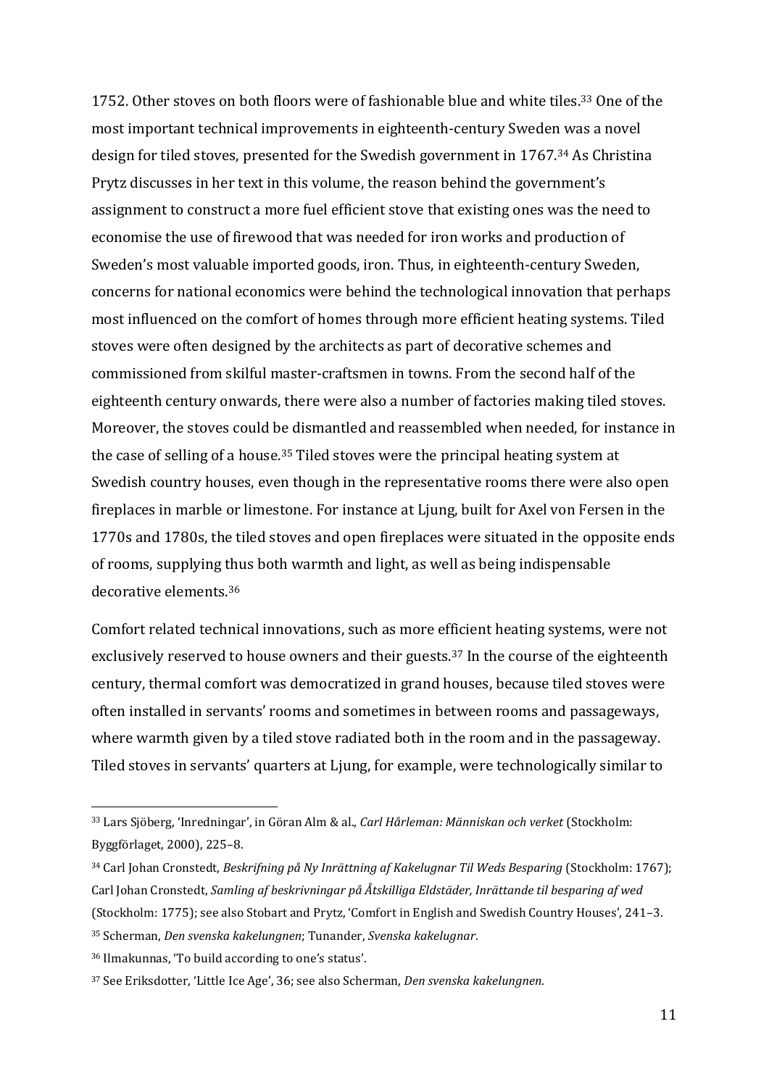1752. Other stoves on both floors were of fashionable blue and white tiles.<sup>33</sup> One of the most important technical improvements in eighteenth-century Sweden was a novel design for tiled stoves, presented for the Swedish government in 1767. <sup>34</sup> As Christina Prytz discusses in her text in this volume, the reason behind the government's assignment to construct a more fuel efficient stove that existing ones was the need to economise the use of firewood that was needed for iron works and production of Sweden's most valuable imported goods, iron. Thus, in eighteenth-century Sweden, concerns for national economics were behind the technological innovation that perhaps most influenced on the comfort of homes through more efficient heating systems. Tiled stoves were often designed by the architects as part of decorative schemes and commissioned from skilful master-craftsmen in towns. From the second half of the eighteenth century onwards, there were also a number of factories making tiled stoves. Moreover, the stoves could be dismantled and reassembled when needed, for instance in the case of selling of a house.<sup>35</sup> Tiled stoves were the principal heating system at Swedish country houses, even though in the representative rooms there were also open fireplaces in marble or limestone. For instance at Ljung, built for Axel von Fersen in the 1770s and 1780s, the tiled stoves and open fireplaces were situated in the opposite ends of rooms, supplying thus both warmth and light, as well as being indispensable decorative elements 36

Comfort related technical innovations, such as more efficient heating systems, were not exclusively reserved to house owners and their guests.<sup>37</sup> In the course of the eighteenth century, thermal comfort was democratized in grand houses, because tiled stoves were often installed in servants' rooms and sometimes in between rooms and passageways, where warmth given by a tiled stove radiated both in the room and in the passageway. Tiled stoves in servants' quarters at Ljung, for example, were technologically similar to

<sup>33</sup> Lars Sjöberg, 'Inredningar', in Göran Alm & al., *Carl Hårleman: Människan och verket* (Stockholm: Byggförlaget, 2000), 225–8.

<sup>&</sup>lt;sup>34</sup> Carl Johan Cronstedt, *Beskrifning på Ny Inrättning af Kakelugnar Til Weds Besparing* (Stockholm: 1767); Carl Johan Cronstedt, *Samling af beskrivningar på Åtskilliga Eldstäder, Inrättande til besparing af wed* (Stockholm: 1775); see also Stobart and Prytz, 'Comfort in English and Swedish Country Houses', 241–3.

<sup>35</sup> Scherman, *Den svenska kakelungnen*; Tunander, *Svenska kakelugnar*.

<sup>36</sup> Ilmakunnas, 'To build according to one's status'.

<sup>37</sup> See Eriksdotter, 'Little Ice Age', 36; see also Scherman, *Den svenska kakelungnen*.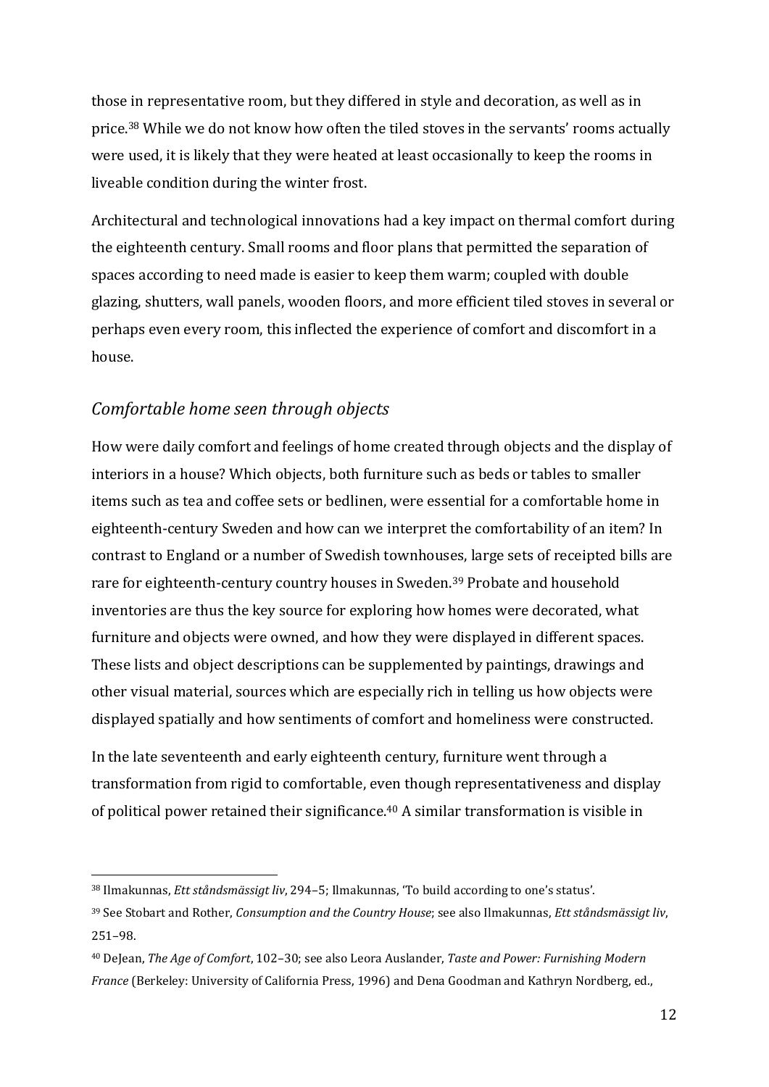those in representative room, but they differed in style and decoration, as well as in price.<sup>38</sup> While we do not know how often the tiled stoves in the servants' rooms actually were used, it is likely that they were heated at least occasionally to keep the rooms in liveable condition during the winter frost.

Architectural and technological innovations had a key impact on thermal comfort during the eighteenth century. Small rooms and floor plans that permitted the separation of spaces according to need made is easier to keep them warm; coupled with double glazing, shutters, wall panels, wooden floors, and more efficient tiled stoves in several or perhaps even every room, this inflected the experience of comfort and discomfort in a house.

## *Comfortable home seen through objects*

<u>.</u>

How were daily comfort and feelings of home created through objects and the display of interiors in a house? Which objects, both furniture such as beds or tables to smaller items such as tea and coffee sets or bedlinen, were essential for a comfortable home in eighteenth-century Sweden and how can we interpret the comfortability of an item? In contrast to England or a number of Swedish townhouses, large sets of receipted bills are rare for eighteenth-century country houses in Sweden.<sup>39</sup> Probate and household inventories are thus the key source for exploring how homes were decorated, what furniture and objects were owned, and how they were displayed in different spaces. These lists and object descriptions can be supplemented by paintings, drawings and other visual material, sources which are especially rich in telling us how objects were displayed spatially and how sentiments of comfort and homeliness were constructed.

In the late seventeenth and early eighteenth century, furniture went through a transformation from rigid to comfortable, even though representativeness and display of political power retained their significance. <sup>40</sup> A similar transformation is visible in

<sup>38</sup> Ilmakunnas, *Ett ståndsmässigt liv*, 294–5; Ilmakunnas, 'To build according to one's status'.

<sup>39</sup> See Stobart and Rother, *Consumption and the Country House*; see also Ilmakunnas, *Ett ståndsmässigt liv*, 251–98.

<sup>40</sup> DeJean, *The Age of Comfort*, 102–30; see also Leora Auslander, *Taste and Power: Furnishing Modern France* (Berkeley: University of California Press, 1996) and Dena Goodman and Kathryn Nordberg, ed.,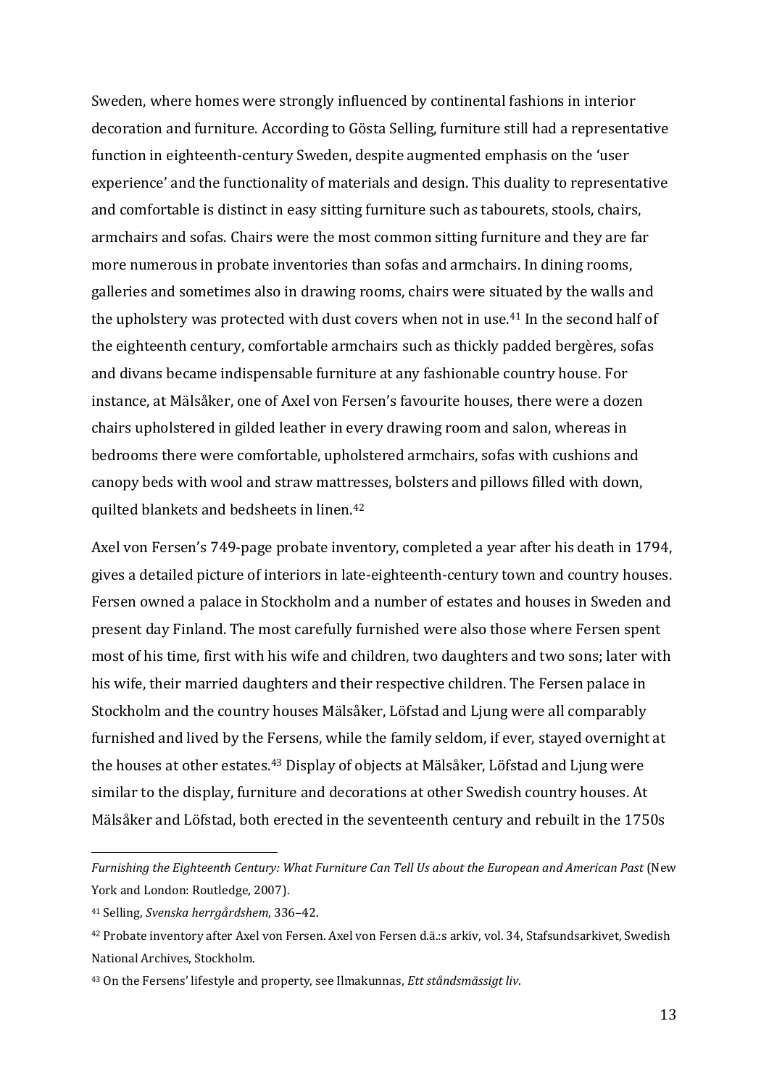Sweden, where homes were strongly influenced by continental fashions in interior decoration and furniture. According to Gösta Selling, furniture still had a representative function in eighteenth-century Sweden, despite augmented emphasis on the 'user experience' and the functionality of materials and design. This duality to representative and comfortable is distinct in easy sitting furniture such as tabourets, stools, chairs, armchairs and sofas. Chairs were the most common sitting furniture and they are far more numerous in probate inventories than sofas and armchairs. In dining rooms, galleries and sometimes also in drawing rooms, chairs were situated by the walls and the upholstery was protected with dust covers when not in use.<sup>41</sup> In the second half of the eighteenth century, comfortable armchairs such as thickly padded bergères, sofas and divans became indispensable furniture at any fashionable country house. For instance, at Mälsåker, one of Axel von Fersen's favourite houses, there were a dozen chairs upholstered in gilded leather in every drawing room and salon, whereas in bedrooms there were comfortable, upholstered armchairs, sofas with cushions and canopy beds with wool and straw mattresses, bolsters and pillows filled with down, quilted blankets and bedsheets in linen.<sup>42</sup>

Axel von Fersen's 749-page probate inventory, completed a year after his death in 1794, gives a detailed picture of interiors in late-eighteenth-century town and country houses. Fersen owned a palace in Stockholm and a number of estates and houses in Sweden and present day Finland. The most carefully furnished were also those where Fersen spent most of his time, first with his wife and children, two daughters and two sons; later with his wife, their married daughters and their respective children. The Fersen palace in Stockholm and the country houses Mälsåker, Löfstad and Ljung were all comparably furnished and lived by the Fersens, while the family seldom, if ever, stayed overnight at the houses at other estates.<sup>43</sup> Display of objects at Mälsåker, Löfstad and Ljung were similar to the display, furniture and decorations at other Swedish country houses. At Mälsåker and Löfstad, both erected in the seventeenth century and rebuilt in the 1750s

*Furnishing the Eighteenth Century: What Furniture Can Tell Us about the European and American Past* (New York and London: Routledge, 2007).

<sup>41</sup> Selling, *Svenska herrgårdshem*, 336–42.

<sup>42</sup> Probate inventory after Axel von Fersen. Axel von Fersen d.ä.:s arkiv, vol. 34, Stafsundsarkivet, Swedish National Archives, Stockholm.

<sup>43</sup> On the Fersens' lifestyle and property, see Ilmakunnas, *Ett ståndsmässigt liv*.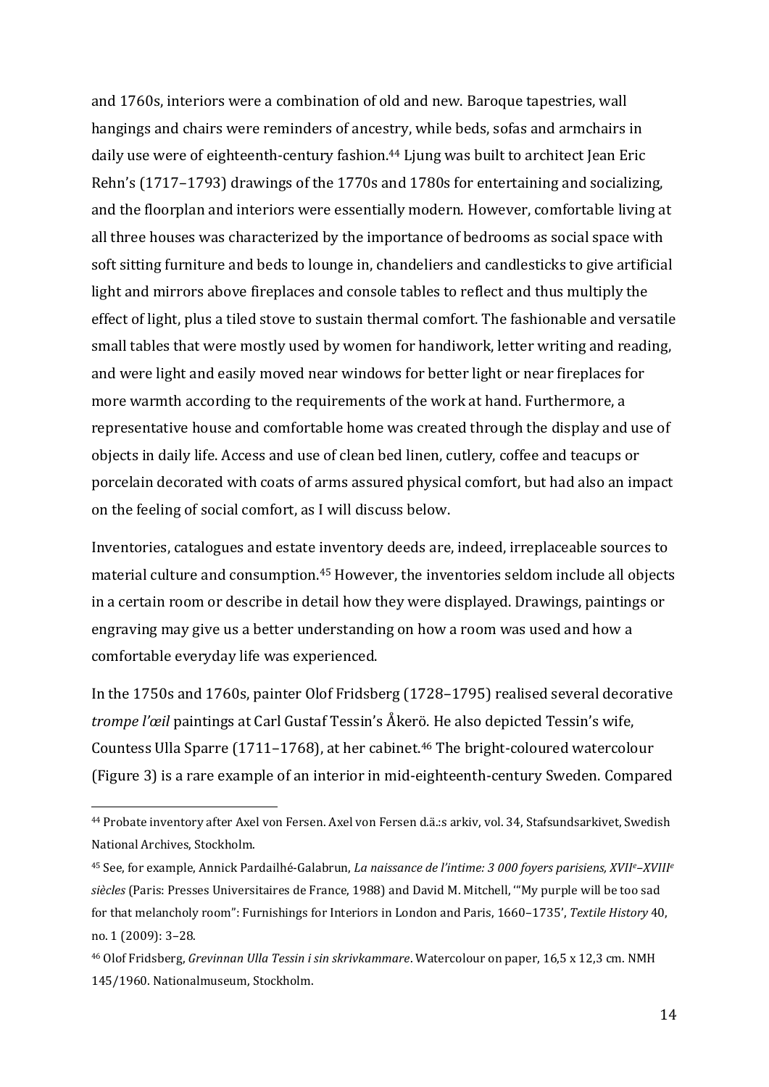and 1760s, interiors were a combination of old and new. Baroque tapestries, wall hangings and chairs were reminders of ancestry, while beds, sofas and armchairs in daily use were of eighteenth-century fashion.<sup>44</sup> Ljung was built to architect Jean Eric Rehn's (1717–1793) drawings of the 1770s and 1780s for entertaining and socializing, and the floorplan and interiors were essentially modern. However, comfortable living at all three houses was characterized by the importance of bedrooms as social space with soft sitting furniture and beds to lounge in, chandeliers and candlesticks to give artificial light and mirrors above fireplaces and console tables to reflect and thus multiply the effect of light, plus a tiled stove to sustain thermal comfort. The fashionable and versatile small tables that were mostly used by women for handiwork, letter writing and reading, and were light and easily moved near windows for better light or near fireplaces for more warmth according to the requirements of the work at hand. Furthermore, a representative house and comfortable home was created through the display and use of objects in daily life. Access and use of clean bed linen, cutlery, coffee and teacups or porcelain decorated with coats of arms assured physical comfort, but had also an impact on the feeling of social comfort, as I will discuss below.

Inventories, catalogues and estate inventory deeds are, indeed, irreplaceable sources to material culture and consumption. <sup>45</sup> However, the inventories seldom include all objects in a certain room or describe in detail how they were displayed. Drawings, paintings or engraving may give us a better understanding on how a room was used and how a comfortable everyday life was experienced.

In the 1750s and 1760s, painter Olof Fridsberg (1728–1795) realised several decorative *trompe l'œil* paintings at Carl Gustaf Tessin's Åkerö. He also depicted Tessin's wife, Countess Ulla Sparre (1711–1768), at her cabinet.<sup>46</sup> The bright-coloured watercolour (Figure 3) is a rare example of an interior in mid-eighteenth-century Sweden. Compared

<sup>44</sup> Probate inventory after Axel von Fersen. Axel von Fersen d.ä.:s arkiv, vol. 34, Stafsundsarkivet, Swedish National Archives, Stockholm.

<sup>45</sup> See, for example, Annick Pardailhé-Galabrun, *La naissance de l'intime: 3 000 foyers parisiens, XVIIe–XVIII<sup>e</sup> siècles* (Paris: Presses Universitaires de France, 1988) and David M. Mitchell, '"My purple will be too sad for that melancholy room": Furnishings for Interiors in London and Paris, 1660–1735', *Textile History* 40, no. 1 (2009): 3–28.

<sup>46</sup> Olof Fridsberg, *Grevinnan Ulla Tessin i sin skrivkammare*. Watercolour on paper, 16,5 x 12,3 cm. NMH 145/1960. Nationalmuseum, Stockholm.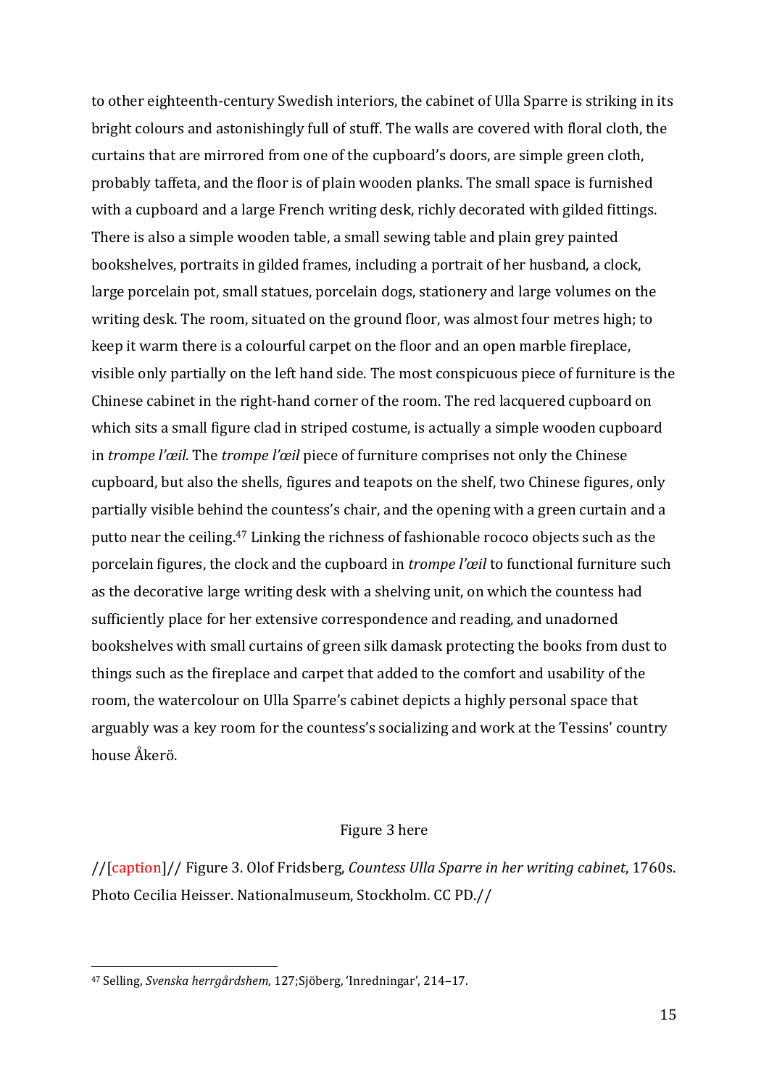to other eighteenth-century Swedish interiors, the cabinet of Ulla Sparre is striking in its bright colours and astonishingly full of stuff. The walls are covered with floral cloth, the curtains that are mirrored from one of the cupboard's doors, are simple green cloth, probably taffeta, and the floor is of plain wooden planks. The small space is furnished with a cupboard and a large French writing desk, richly decorated with gilded fittings. There is also a simple wooden table, a small sewing table and plain grey painted bookshelves, portraits in gilded frames, including a portrait of her husband, a clock, large porcelain pot, small statues, porcelain dogs, stationery and large volumes on the writing desk. The room, situated on the ground floor, was almost four metres high; to keep it warm there is a colourful carpet on the floor and an open marble fireplace, visible only partially on the left hand side. The most conspicuous piece of furniture is the Chinese cabinet in the right-hand corner of the room. The red lacquered cupboard on which sits a small figure clad in striped costume, is actually a simple wooden cupboard in *trompe l'œil*. The *trompe l'œil* piece of furniture comprises not only the Chinese cupboard, but also the shells, figures and teapots on the shelf, two Chinese figures, only partially visible behind the countess's chair, and the opening with a green curtain and a putto near the ceiling.<sup>47</sup> Linking the richness of fashionable rococo objects such as the porcelain figures, the clock and the cupboard in *trompe l'œil* to functional furniture such as the decorative large writing desk with a shelving unit, on which the countess had sufficiently place for her extensive correspondence and reading, and unadorned bookshelves with small curtains of green silk damask protecting the books from dust to things such as the fireplace and carpet that added to the comfort and usability of the room, the watercolour on Ulla Sparre's cabinet depicts a highly personal space that arguably was a key room for the countess's socializing and work at the Tessins' country house Åkerö.

### Figure 3 here

//[caption]// Figure 3. Olof Fridsberg, *Countess Ulla Sparre in her writing cabinet*, 1760s. Photo Cecilia Heisser. Nationalmuseum, Stockholm. CC PD.//

<sup>47</sup> Selling, *Svenska herrgårdshem*, 127;Sjöberg, 'Inredningar', 214–17.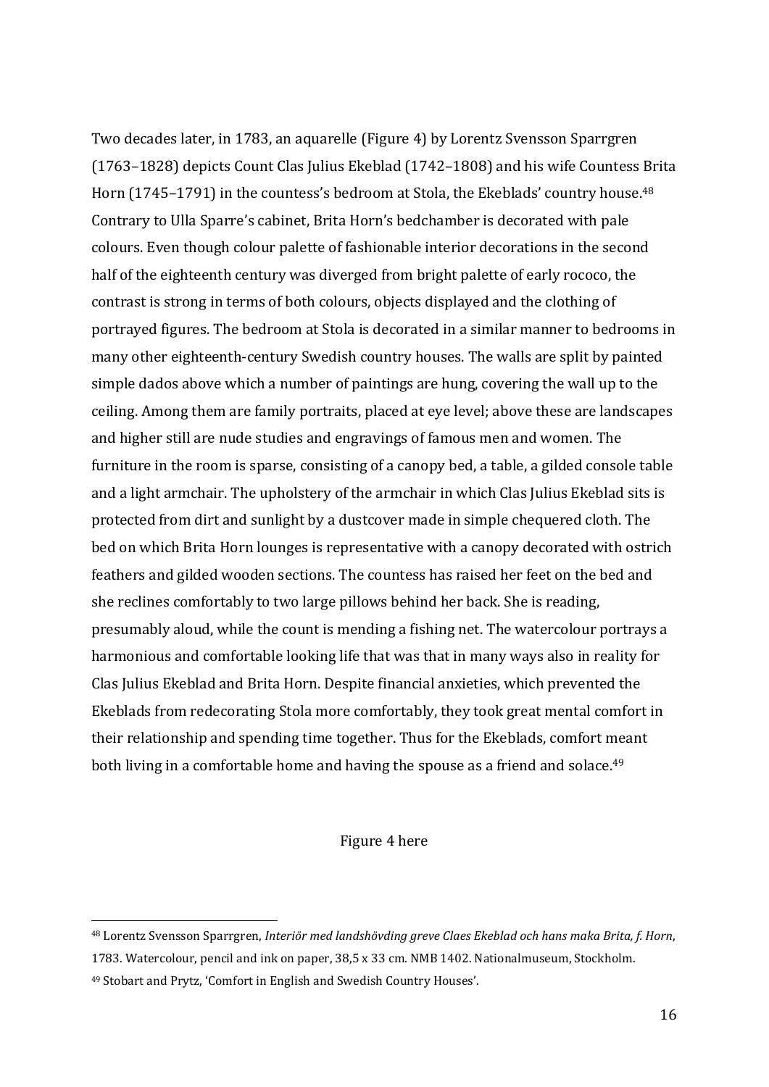Two decades later, in 1783, an aquarelle (Figure 4) by Lorentz Svensson Sparrgren (1763–1828) depicts Count Clas Julius Ekeblad (1742–1808) and his wife Countess Brita Horn (1745-1791) in the countess's bedroom at Stola, the Ekeblads' country house.<sup>48</sup> Contrary to Ulla Sparre's cabinet, Brita Horn's bedchamber is decorated with pale colours. Even though colour palette of fashionable interior decorations in the second half of the eighteenth century was diverged from bright palette of early rococo, the contrast is strong in terms of both colours, objects displayed and the clothing of portrayed figures. The bedroom at Stola is decorated in a similar manner to bedrooms in many other eighteenth-century Swedish country houses. The walls are split by painted simple dados above which a number of paintings are hung, covering the wall up to the ceiling. Among them are family portraits, placed at eye level; above these are landscapes and higher still are nude studies and engravings of famous men and women. The furniture in the room is sparse, consisting of a canopy bed, a table, a gilded console table and a light armchair. The upholstery of the armchair in which Clas Julius Ekeblad sits is protected from dirt and sunlight by a dustcover made in simple chequered cloth. The bed on which Brita Horn lounges is representative with a canopy decorated with ostrich feathers and gilded wooden sections. The countess has raised her feet on the bed and she reclines comfortably to two large pillows behind her back. She is reading, presumably aloud, while the count is mending a fishing net. The watercolour portrays a harmonious and comfortable looking life that was that in many ways also in reality for Clas Julius Ekeblad and Brita Horn. Despite financial anxieties, which prevented the Ekeblads from redecorating Stola more comfortably, they took great mental comfort in their relationship and spending time together. Thus for the Ekeblads, comfort meant both living in a comfortable home and having the spouse as a friend and solace.<sup>49</sup>

### Figure 4 here

<sup>48</sup> Lorentz Svensson Sparrgren, *Interiör med landshövding greve Claes Ekeblad och hans maka Brita, f. Horn*, 1783. Watercolour, pencil and ink on paper, 38,5 x 33 cm. NMB 1402. Nationalmuseum, Stockholm.

<sup>49</sup> Stobart and Prytz, 'Comfort in English and Swedish Country Houses'.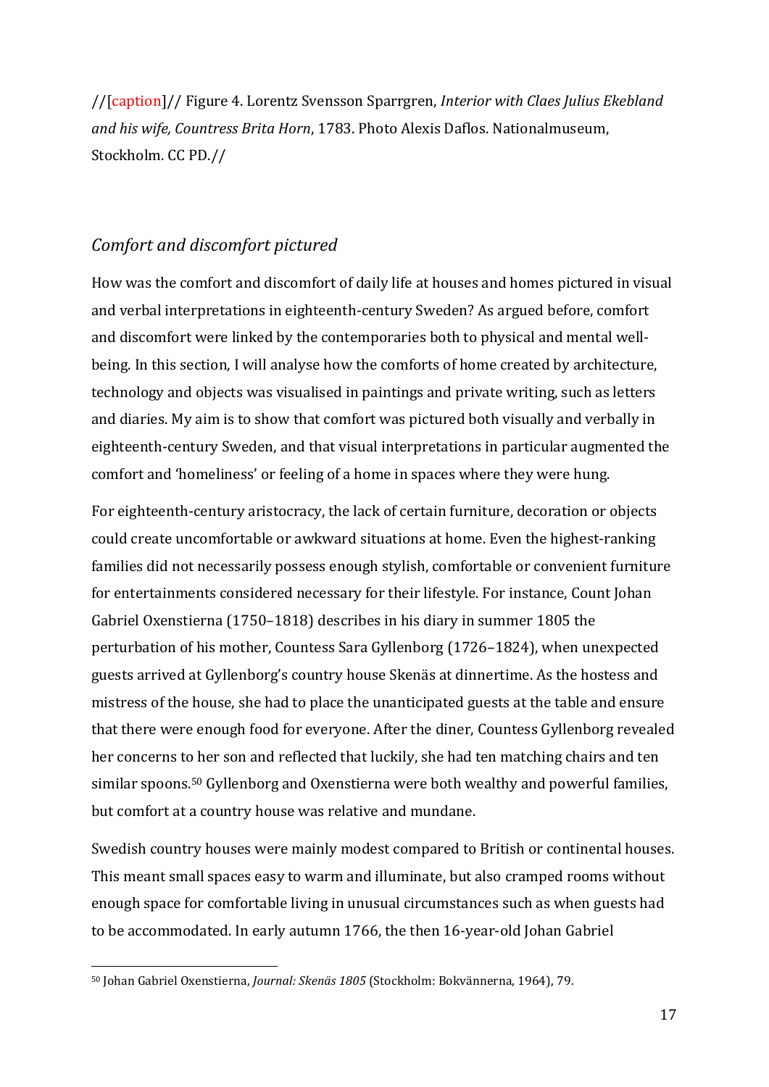//[caption]// Figure 4. Lorentz Svensson Sparrgren, *Interior with Claes Julius Ekebland and his wife, Countress Brita Horn*, 1783. Photo Alexis Daflos. Nationalmuseum, Stockholm. CC PD.//

## *Comfort and discomfort pictured*

How was the comfort and discomfort of daily life at houses and homes pictured in visual and verbal interpretations in eighteenth-century Sweden? As argued before, comfort and discomfort were linked by the contemporaries both to physical and mental wellbeing. In this section, I will analyse how the comforts of home created by architecture, technology and objects was visualised in paintings and private writing, such as letters and diaries. My aim is to show that comfort was pictured both visually and verbally in eighteenth-century Sweden, and that visual interpretations in particular augmented the comfort and 'homeliness' or feeling of a home in spaces where they were hung.

For eighteenth-century aristocracy, the lack of certain furniture, decoration or objects could create uncomfortable or awkward situations at home. Even the highest-ranking families did not necessarily possess enough stylish, comfortable or convenient furniture for entertainments considered necessary for their lifestyle. For instance, Count Johan Gabriel Oxenstierna (1750–1818) describes in his diary in summer 1805 the perturbation of his mother, Countess Sara Gyllenborg (1726–1824), when unexpected guests arrived at Gyllenborg's country house Skenäs at dinnertime. As the hostess and mistress of the house, she had to place the unanticipated guests at the table and ensure that there were enough food for everyone. After the diner, Countess Gyllenborg revealed her concerns to her son and reflected that luckily, she had ten matching chairs and ten similar spoons.<sup>50</sup> Gyllenborg and Oxenstierna were both wealthy and powerful families, but comfort at a country house was relative and mundane.

Swedish country houses were mainly modest compared to British or continental houses. This meant small spaces easy to warm and illuminate, but also cramped rooms without enough space for comfortable living in unusual circumstances such as when guests had to be accommodated. In early autumn 1766, the then 16-year-old Johan Gabriel

<sup>50</sup> Johan Gabriel Oxenstierna, *Journal: Skenäs 1805* (Stockholm: Bokvännerna, 1964), 79.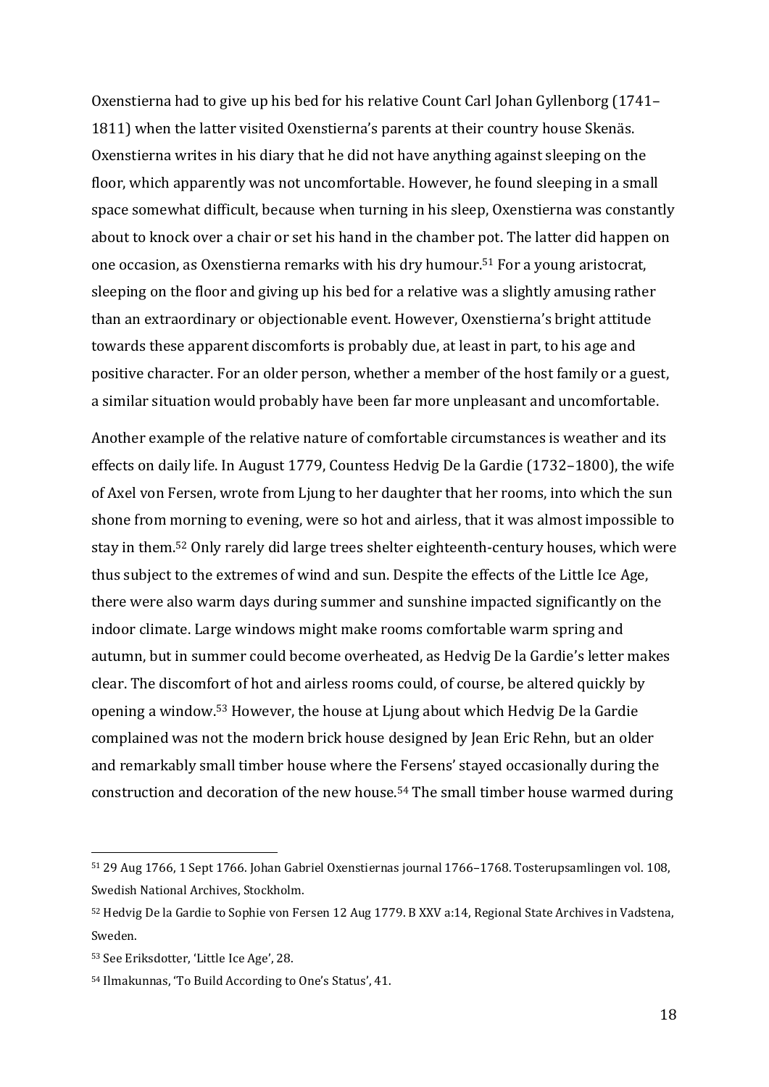Oxenstierna had to give up his bed for his relative Count Carl Johan Gyllenborg (1741– 1811) when the latter visited Oxenstierna's parents at their country house Skenäs. Oxenstierna writes in his diary that he did not have anything against sleeping on the floor, which apparently was not uncomfortable. However, he found sleeping in a small space somewhat difficult, because when turning in his sleep, Oxenstierna was constantly about to knock over a chair or set his hand in the chamber pot. The latter did happen on one occasion, as Oxenstierna remarks with his dry humour.<sup>51</sup> For a young aristocrat, sleeping on the floor and giving up his bed for a relative was a slightly amusing rather than an extraordinary or objectionable event. However, Oxenstierna's bright attitude towards these apparent discomforts is probably due, at least in part, to his age and positive character. For an older person, whether a member of the host family or a guest, a similar situation would probably have been far more unpleasant and uncomfortable.

Another example of the relative nature of comfortable circumstances is weather and its effects on daily life. In August 1779, Countess Hedvig De la Gardie (1732–1800), the wife of Axel von Fersen, wrote from Ljung to her daughter that her rooms, into which the sun shone from morning to evening, were so hot and airless, that it was almost impossible to stay in them.<sup>52</sup> Only rarely did large trees shelter eighteenth-century houses, which were thus subject to the extremes of wind and sun. Despite the effects of the Little Ice Age, there were also warm days during summer and sunshine impacted significantly on the indoor climate. Large windows might make rooms comfortable warm spring and autumn, but in summer could become overheated, as Hedvig De la Gardie's letter makes clear. The discomfort of hot and airless rooms could, of course, be altered quickly by opening a window.<sup>53</sup> However, the house at Ljung about which Hedvig De la Gardie complained was not the modern brick house designed by Jean Eric Rehn, but an older and remarkably small timber house where the Fersens' stayed occasionally during the construction and decoration of the new house.<sup>54</sup> The small timber house warmed during

<sup>51</sup> 29 Aug 1766, 1 Sept 1766. Johan Gabriel Oxenstiernas journal 1766–1768. Tosterupsamlingen vol. 108, Swedish National Archives, Stockholm.

<sup>52</sup> Hedvig De la Gardie to Sophie von Fersen 12 Aug 1779. B XXV a:14, Regional State Archives in Vadstena, Sweden.

<sup>53</sup> See Eriksdotter, 'Little Ice Age', 28.

<sup>54</sup> Ilmakunnas, 'To Build According to One's Status', 41.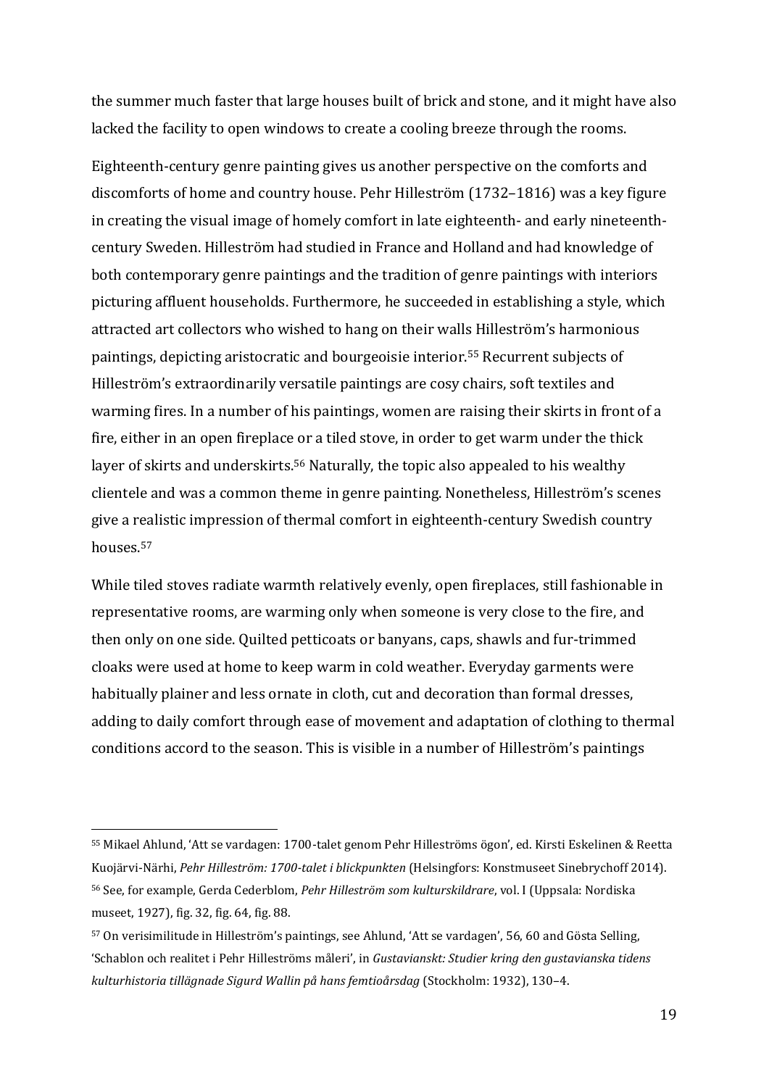the summer much faster that large houses built of brick and stone, and it might have also lacked the facility to open windows to create a cooling breeze through the rooms.

Eighteenth-century genre painting gives us another perspective on the comforts and discomforts of home and country house. Pehr Hilleström (1732–1816) was a key figure in creating the visual image of homely comfort in late eighteenth- and early nineteenthcentury Sweden. Hilleström had studied in France and Holland and had knowledge of both contemporary genre paintings and the tradition of genre paintings with interiors picturing affluent households. Furthermore, he succeeded in establishing a style, which attracted art collectors who wished to hang on their walls Hilleström's harmonious paintings, depicting aristocratic and bourgeoisie interior.<sup>55</sup> Recurrent subjects of Hilleström's extraordinarily versatile paintings are cosy chairs, soft textiles and warming fires. In a number of his paintings, women are raising their skirts in front of a fire, either in an open fireplace or a tiled stove, in order to get warm under the thick layer of skirts and underskirts.<sup>56</sup> Naturally, the topic also appealed to his wealthy clientele and was a common theme in genre painting. Nonetheless, Hilleström's scenes give a realistic impression of thermal comfort in eighteenth-century Swedish country houses.<sup>57</sup>

While tiled stoves radiate warmth relatively evenly, open fireplaces, still fashionable in representative rooms, are warming only when someone is very close to the fire, and then only on one side. Quilted petticoats or banyans, caps, shawls and fur-trimmed cloaks were used at home to keep warm in cold weather. Everyday garments were habitually plainer and less ornate in cloth, cut and decoration than formal dresses, adding to daily comfort through ease of movement and adaptation of clothing to thermal conditions accord to the season. This is visible in a number of Hilleström's paintings

<sup>55</sup> Mikael Ahlund, 'Att se vardagen: 1700-talet genom Pehr Hilleströms ögon', ed. Kirsti Eskelinen & Reetta Kuojärvi-Närhi, *Pehr Hilleström: 1700-talet i blickpunkten* (Helsingfors: Konstmuseet Sinebrychoff 2014). <sup>56</sup> See, for example, Gerda Cederblom, *Pehr Hilleström som kulturskildrare*, vol. I (Uppsala: Nordiska museet, 1927), fig. 32, fig. 64, fig. 88.

<sup>57</sup> On verisimilitude in Hilleström's paintings, see Ahlund, 'Att se vardagen', 56, 60 and Gösta Selling, 'Schablon och realitet i Pehr Hilleströms måleri', in *Gustavianskt: Studier kring den gustavianska tidens kulturhistoria tillägnade Sigurd Wallin på hans femtioårsdag* (Stockholm: 1932), 130–4.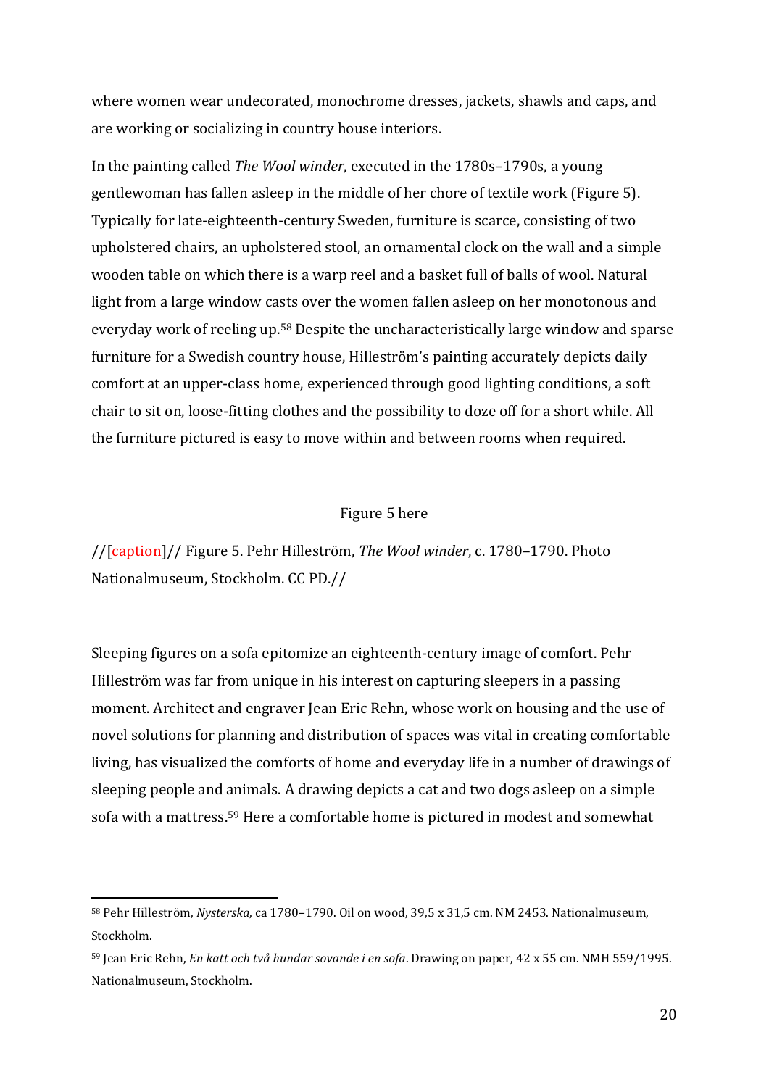where women wear undecorated, monochrome dresses, jackets, shawls and caps, and are working or socializing in country house interiors.

In the painting called *The Wool winder*, executed in the 1780s–1790s, a young gentlewoman has fallen asleep in the middle of her chore of textile work (Figure 5). Typically for late-eighteenth-century Sweden, furniture is scarce, consisting of two upholstered chairs, an upholstered stool, an ornamental clock on the wall and a simple wooden table on which there is a warp reel and a basket full of balls of wool. Natural light from a large window casts over the women fallen asleep on her monotonous and everyday work of reeling up.<sup>58</sup> Despite the uncharacteristically large window and sparse furniture for a Swedish country house, Hilleström's painting accurately depicts daily comfort at an upper-class home, experienced through good lighting conditions, a soft chair to sit on, loose-fitting clothes and the possibility to doze off for a short while. All the furniture pictured is easy to move within and between rooms when required.

### Figure 5 here

//[caption]// Figure 5. Pehr Hilleström, *The Wool winder*, c. 1780–1790. Photo Nationalmuseum, Stockholm. CC PD.//

Sleeping figures on a sofa epitomize an eighteenth-century image of comfort. Pehr Hilleström was far from unique in his interest on capturing sleepers in a passing moment. Architect and engraver Jean Eric Rehn, whose work on housing and the use of novel solutions for planning and distribution of spaces was vital in creating comfortable living, has visualized the comforts of home and everyday life in a number of drawings of sleeping people and animals. A drawing depicts a cat and two dogs asleep on a simple sofa with a mattress.<sup>59</sup> Here a comfortable home is pictured in modest and somewhat

<sup>58</sup> Pehr Hilleström, *Nysterska*, ca 1780–1790. Oil on wood, 39,5 x 31,5 cm. NM 2453. Nationalmuseum, Stockholm.

<sup>59</sup> Jean Eric Rehn, *En katt och två hundar sovande i en sofa*. Drawing on paper, 42 x 55 cm. NMH 559/1995. Nationalmuseum, Stockholm.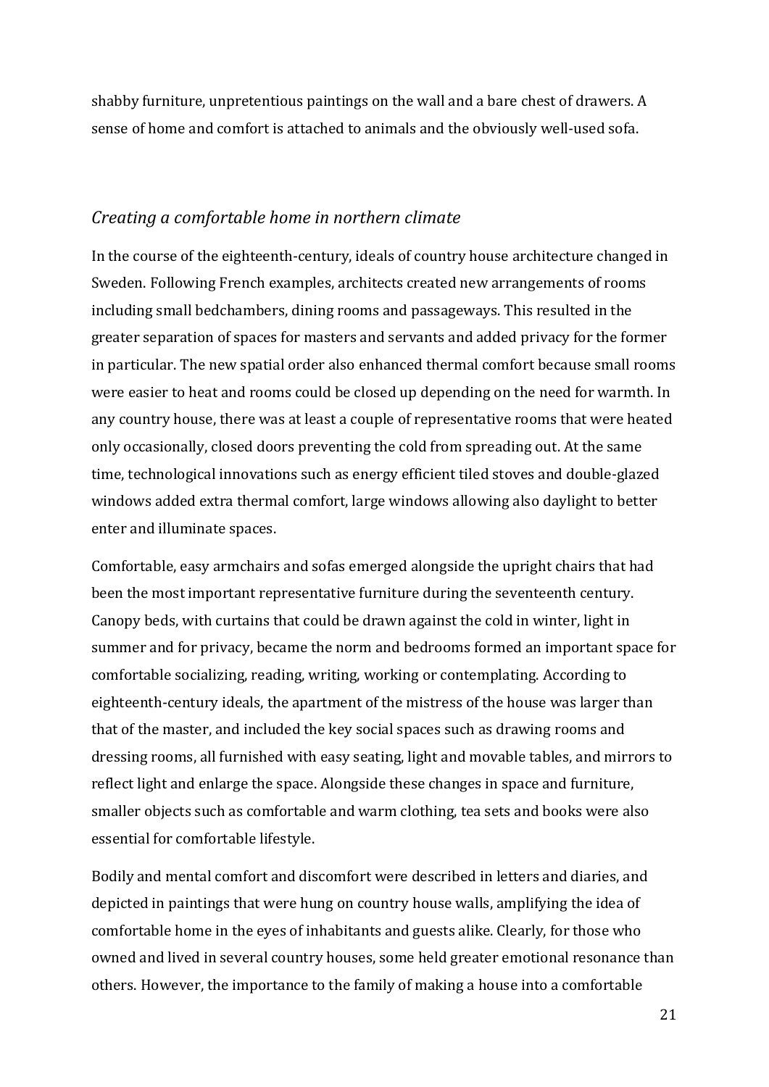shabby furniture, unpretentious paintings on the wall and a bare chest of drawers. A sense of home and comfort is attached to animals and the obviously well-used sofa.

## *Creating a comfortable home in northern climate*

In the course of the eighteenth-century, ideals of country house architecture changed in Sweden. Following French examples, architects created new arrangements of rooms including small bedchambers, dining rooms and passageways. This resulted in the greater separation of spaces for masters and servants and added privacy for the former in particular. The new spatial order also enhanced thermal comfort because small rooms were easier to heat and rooms could be closed up depending on the need for warmth. In any country house, there was at least a couple of representative rooms that were heated only occasionally, closed doors preventing the cold from spreading out. At the same time, technological innovations such as energy efficient tiled stoves and double-glazed windows added extra thermal comfort, large windows allowing also daylight to better enter and illuminate spaces.

Comfortable, easy armchairs and sofas emerged alongside the upright chairs that had been the most important representative furniture during the seventeenth century. Canopy beds, with curtains that could be drawn against the cold in winter, light in summer and for privacy, became the norm and bedrooms formed an important space for comfortable socializing, reading, writing, working or contemplating. According to eighteenth-century ideals, the apartment of the mistress of the house was larger than that of the master, and included the key social spaces such as drawing rooms and dressing rooms, all furnished with easy seating, light and movable tables, and mirrors to reflect light and enlarge the space. Alongside these changes in space and furniture, smaller objects such as comfortable and warm clothing, tea sets and books were also essential for comfortable lifestyle.

Bodily and mental comfort and discomfort were described in letters and diaries, and depicted in paintings that were hung on country house walls, amplifying the idea of comfortable home in the eyes of inhabitants and guests alike. Clearly, for those who owned and lived in several country houses, some held greater emotional resonance than others. However, the importance to the family of making a house into a comfortable